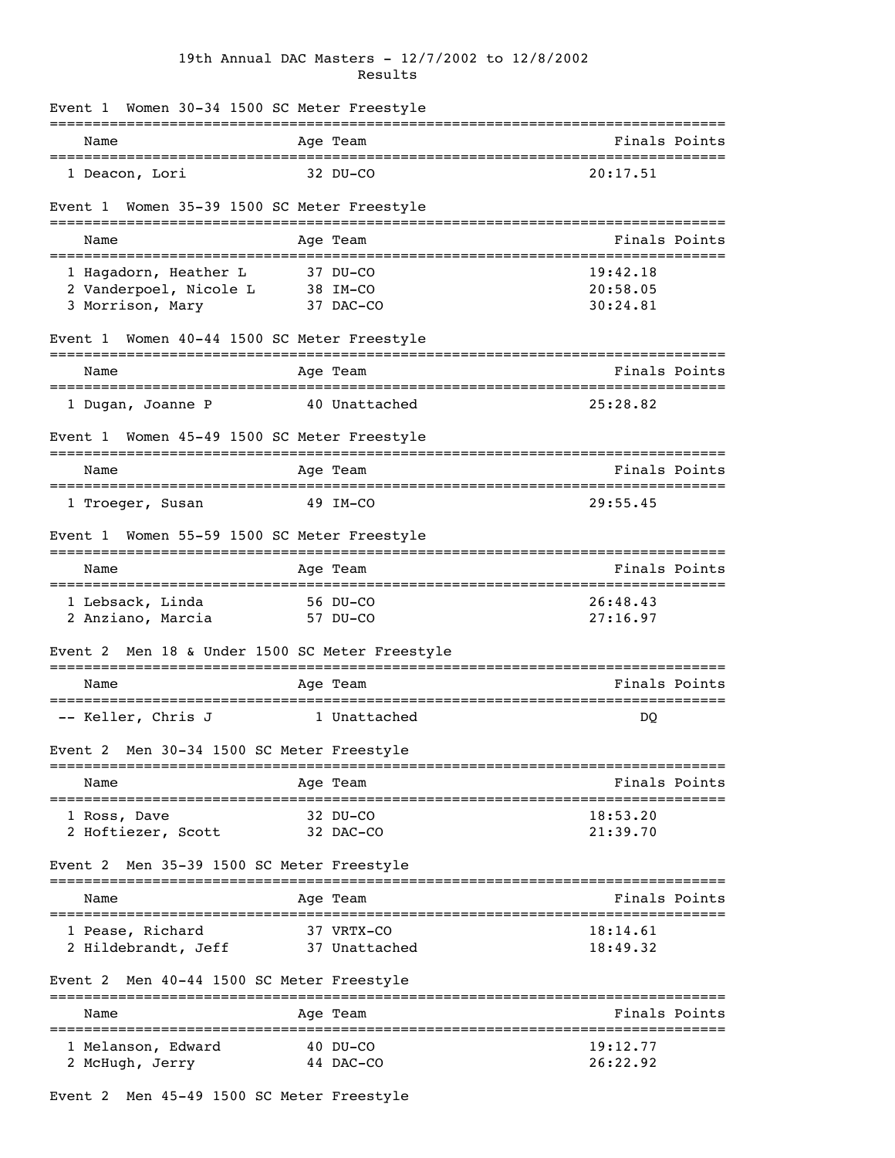## 19th Annual DAC Masters - 12/7/2002 to 12/8/2002 Results

| Event 1 Women 30-34 1500 SC Meter Freestyle                            |                                                          |                                                   |
|------------------------------------------------------------------------|----------------------------------------------------------|---------------------------------------------------|
| Name                                                                   | Age Team                                                 | Finals Points                                     |
| 1 Deacon, Lori                                                         | 32 DU-CO                                                 | 20:17.51                                          |
| Event 1                                                                | Women 35-39 1500 SC Meter Freestyle                      |                                                   |
| Name                                                                   | Age Team                                                 | Finals Points                                     |
| 1 Hagadorn, Heather L<br>2 Vanderpoel, Nicole L<br>3 Morrison, Mary    | 37 DU-CO<br>38 IM-CO<br>37 DAC-CO                        | 19:42.18<br>20:58.05<br>30:24.81                  |
| Event 1 Women 40-44 1500 SC Meter Freestyle                            |                                                          |                                                   |
| Name<br>===============================                                | Age Team                                                 | Finals Points<br>===============================  |
| 1 Dugan, Joanne P                                                      | 40 Unattached                                            | 25:28.82                                          |
| Event 1<br>____________________________________                        | Women 45-49 1500 SC Meter Freestyle                      |                                                   |
| Name                                                                   | Age Team                                                 | Finals Points                                     |
| 1 Troeger, Susan                                                       | 49 IM-CO                                                 | 29:55.45                                          |
| Event 1                                                                | Women 55-59 1500 SC Meter Freestyle                      |                                                   |
| Name                                                                   | Age Team                                                 | Finals Points                                     |
| 1 Lebsack, Linda<br>2 Anziano, Marcia                                  | 56 DU-CO<br>57 DU-CO                                     | 26:48.43<br>27:16.97                              |
| Event 2 Men 18 & Under 1500 SC Meter Freestyle<br>==================== | ===============                                          | ===================                               |
| Name                                                                   | Age Team                                                 | Finals Points                                     |
| -- Keller, Chris J                                                     | 1 Unattached                                             | DQ                                                |
| Event 2 Men 30-34 1500 SC Meter Freestyle                              |                                                          |                                                   |
| Name                                                                   | ===========<br>Age Team                                  | ================================<br>Finals Points |
| 1 Ross, Dave<br>2 Hoftiezer, Scott                                     | -------------------------------<br>32 DU-CO<br>32 DAC-CO | 18:53.20<br>21:39.70                              |
| Men 35-39 1500 SC Meter Freestyle<br>Event 2                           |                                                          |                                                   |
| Name                                                                   | Age Team                                                 | Finals Points                                     |
| 1 Pease, Richard<br>2 Hildebrandt, Jeff                                | 37 VRTX-CO<br>37 Unattached                              | 18:14.61<br>18:49.32                              |
| Event 2 Men 40-44 1500 SC Meter Freestyle                              |                                                          |                                                   |
| Name                                                                   | Age Team                                                 | Finals Points                                     |
| 1 Melanson, Edward<br>2 McHugh, Jerry                                  | 40 DU-CO<br>44 DAC-CO                                    | 19:12.77<br>26:22.92                              |

Event 2 Men 45-49 1500 SC Meter Freestyle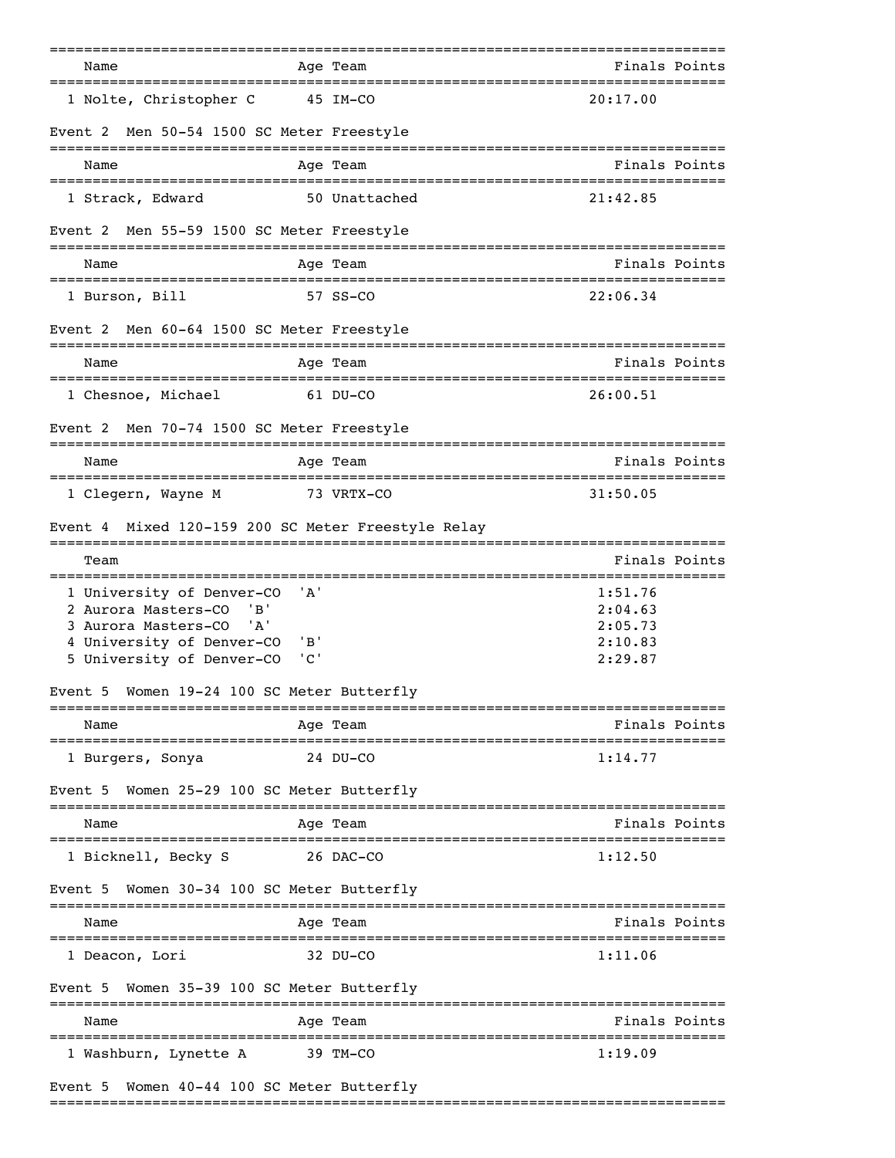|                                                                                                                                                 |                                            | =========                                          |                                                       |
|-------------------------------------------------------------------------------------------------------------------------------------------------|--------------------------------------------|----------------------------------------------------|-------------------------------------------------------|
| Name<br>===============================                                                                                                         |                                            | Age Team<br>------------------------------         | Finals Points                                         |
| 1 Nolte, Christopher C                                                                                                                          | 45 IM-CO                                   |                                                    | 20:17.00                                              |
| Men 50-54 1500 SC Meter Freestyle<br>Event 2                                                                                                    |                                            |                                                    |                                                       |
| Name                                                                                                                                            |                                            | Aqe Team                                           | Finals Points                                         |
| 1 Strack, Edward                                                                                                                                |                                            | 50 Unattached                                      | 21:42.85                                              |
| Men 55-59 1500 SC Meter Freestyle<br>Event 2                                                                                                    |                                            |                                                    |                                                       |
| Name                                                                                                                                            |                                            | Age Team                                           | Finals Points                                         |
| 1 Burson, Bill                                                                                                                                  |                                            | 57 SS-CO                                           | 22:06.34                                              |
| Event 2 Men 60-64 1500 SC Meter Freestyle                                                                                                       |                                            |                                                    |                                                       |
| Name                                                                                                                                            |                                            | Age Team                                           | Finals Points                                         |
| 1 Chesnoe, Michael                                                                                                                              |                                            | 61 DU-CO                                           | 26:00.51                                              |
| Men 70-74 1500 SC Meter Freestyle<br>Event 2                                                                                                    |                                            |                                                    |                                                       |
| Name                                                                                                                                            |                                            | Age Team                                           | Finals Points                                         |
| 1 Clegern, Wayne M                                                                                                                              |                                            | 73 VRTX-CO                                         | 31:50.05                                              |
| Event 4                                                                                                                                         |                                            | Mixed 120-159 200 SC Meter Freestyle Relay         |                                                       |
| Team                                                                                                                                            |                                            |                                                    | Finals Points                                         |
| 1 University of Denver-CO<br>2 Aurora Masters-CO<br>'B'<br>3 Aurora Masters-CO<br>'A'<br>4 University of Denver-CO<br>5 University of Denver-CO | 'A'<br>$'$ B'<br>$^{\prime}$ C $^{\prime}$ |                                                    | 1:51.76<br>2:04.63<br>2:05.73<br>2:10.83<br>2:29.87   |
| Women 19-24 100 SC Meter Butterfly<br>Event 5                                                                                                   |                                            |                                                    |                                                       |
| Name                                                                                                                                            |                                            | ;====================<br>Age Team                  | ====================================<br>Finals Points |
| ================================<br>1 Burgers, Sonya                                                                                            |                                            | --------------------------------------<br>24 DU-CO | 1:14.77                                               |
| Women 25-29 100 SC Meter Butterfly<br>Event 5                                                                                                   |                                            |                                                    |                                                       |
| -------------------------------------<br>Name                                                                                                   |                                            | Age Team                                           | Finals Points                                         |
| 1 Bicknell, Becky S                                                                                                                             |                                            | 26 DAC-CO                                          | 1:12.50                                               |
| Women 30-34 100 SC Meter Butterfly<br>Event 5                                                                                                   |                                            |                                                    |                                                       |
| Name                                                                                                                                            |                                            | Age Team                                           | Finals Points                                         |
| l Deacon, Lori                                                                                                                                  |                                            | 32 DU-CO                                           | 1:11.06                                               |
| Women 35-39 100 SC Meter Butterfly<br>Event 5                                                                                                   |                                            |                                                    |                                                       |
| Name                                                                                                                                            |                                            | :===========<br>Aqe Team                           | Finals Points                                         |
| 1 Washburn, Lynette A                                                                                                                           |                                            | 39 TM-CO                                           | 1:19.09                                               |
| Women 40-44 100 SC Meter Butterfly<br>Event 5                                                                                                   |                                            |                                                    |                                                       |

===============================================================================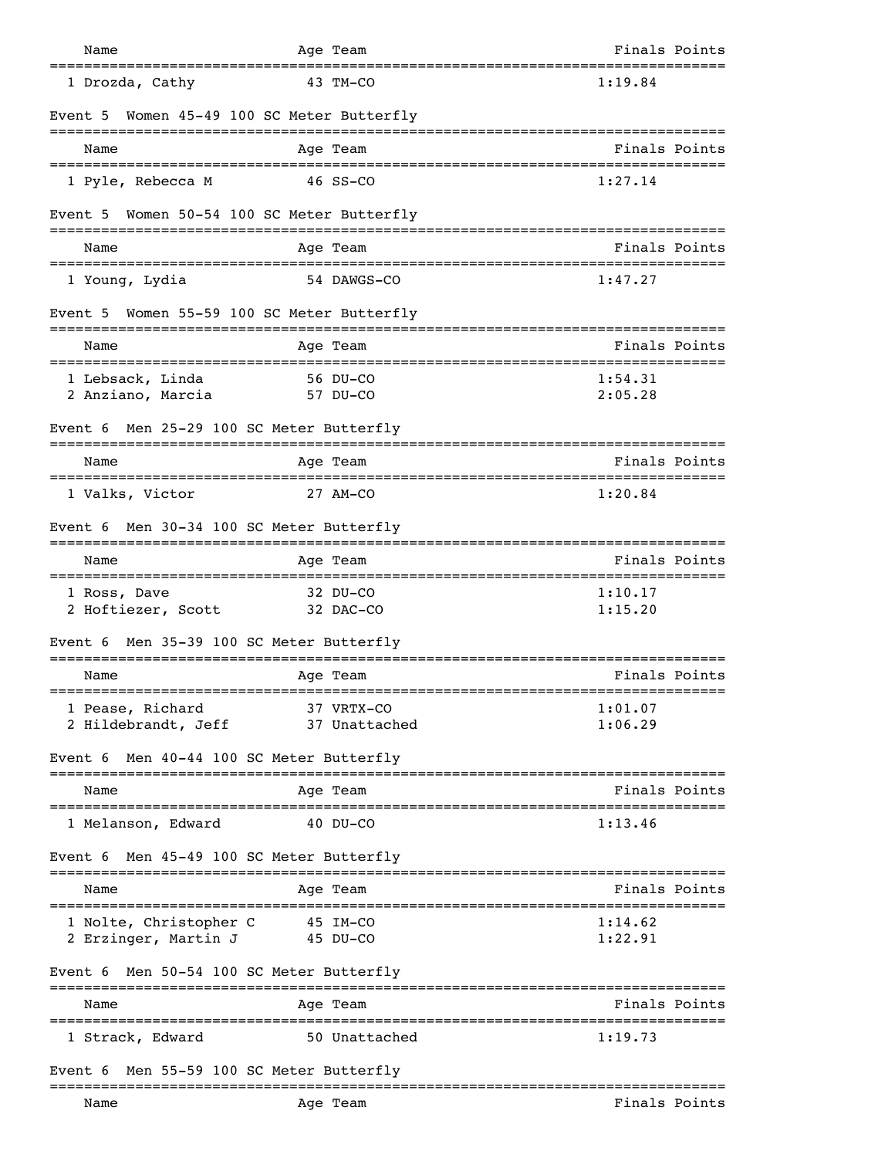| Name                                           | Age Team                           | Finals Points      |
|------------------------------------------------|------------------------------------|--------------------|
| 1 Drozda, Cathy                                | 43 TM-CO                           | 1:19.84            |
| Event 5                                        | Women 45-49 100 SC Meter Butterfly |                    |
| Name                                           | Age Team                           | Finals Points      |
| 1 Pyle, Rebecca M                              | 46 SS-CO                           | 1:27.14            |
| Event 5                                        | Women 50-54 100 SC Meter Butterfly |                    |
| Name                                           | Age Team                           | Finals Points      |
| 1 Young, Lydia                                 | 54 DAWGS-CO                        | 1:47.27            |
| Event 5 Women 55-59 100 SC Meter Butterfly     |                                    |                    |
| Name                                           | Age Team                           | Finals Points      |
| 1 Lebsack, Linda<br>2 Anziano, Marcia          | 56 DU-CO<br>57 DU-CO               | 1:54.31<br>2:05.28 |
| Event 6                                        | Men 25-29 100 SC Meter Butterfly   |                    |
| Name                                           | Age Team                           | Finals Points      |
| 1 Valks, Victor                                | 27 AM-CO                           | 1:20.84            |
| Event 6 Men 30-34 100 SC Meter Butterfly       |                                    |                    |
| Name<br>==================================     | Age Team                           | Finals Points      |
| 1 Ross, Dave<br>2 Hoftiezer, Scott             | 32 DU-CO<br>32 DAC-CO              | 1:10.17<br>1:15.20 |
| Event 6                                        | Men 35-39 100 SC Meter Butterfly   |                    |
| Name<br>____________________                   | Age Team                           | Finals Points      |
| 1 Pease, Richard<br>2 Hildebrandt, Jeff        | 37 VRTX-CO<br>37 Unattached        | 1:01.07<br>1:06.29 |
| Event 6                                        | Men 40-44 100 SC Meter Butterfly   |                    |
| Name                                           | Age Team                           | Finals Points      |
| 1 Melanson, Edward                             | 40 DU-CO                           | 1:13.46            |
| Event 6                                        | Men 45-49 100 SC Meter Butterfly   |                    |
| Name                                           | Age Team                           | Finals Points      |
| 1 Nolte, Christopher C<br>2 Erzinger, Martin J | 45 IM-CO<br>45 DU-CO               | 1:14.62<br>1:22.91 |
| Event 6 Men 50-54 100 SC Meter Butterfly       |                                    |                    |
| Name                                           | Age Team                           | Finals Points      |
| 1 Strack, Edward                               | 50 Unattached                      | 1:19.73            |
| Event 6                                        | Men 55-59 100 SC Meter Butterfly   |                    |
| Name                                           | Age Team                           | Finals Points      |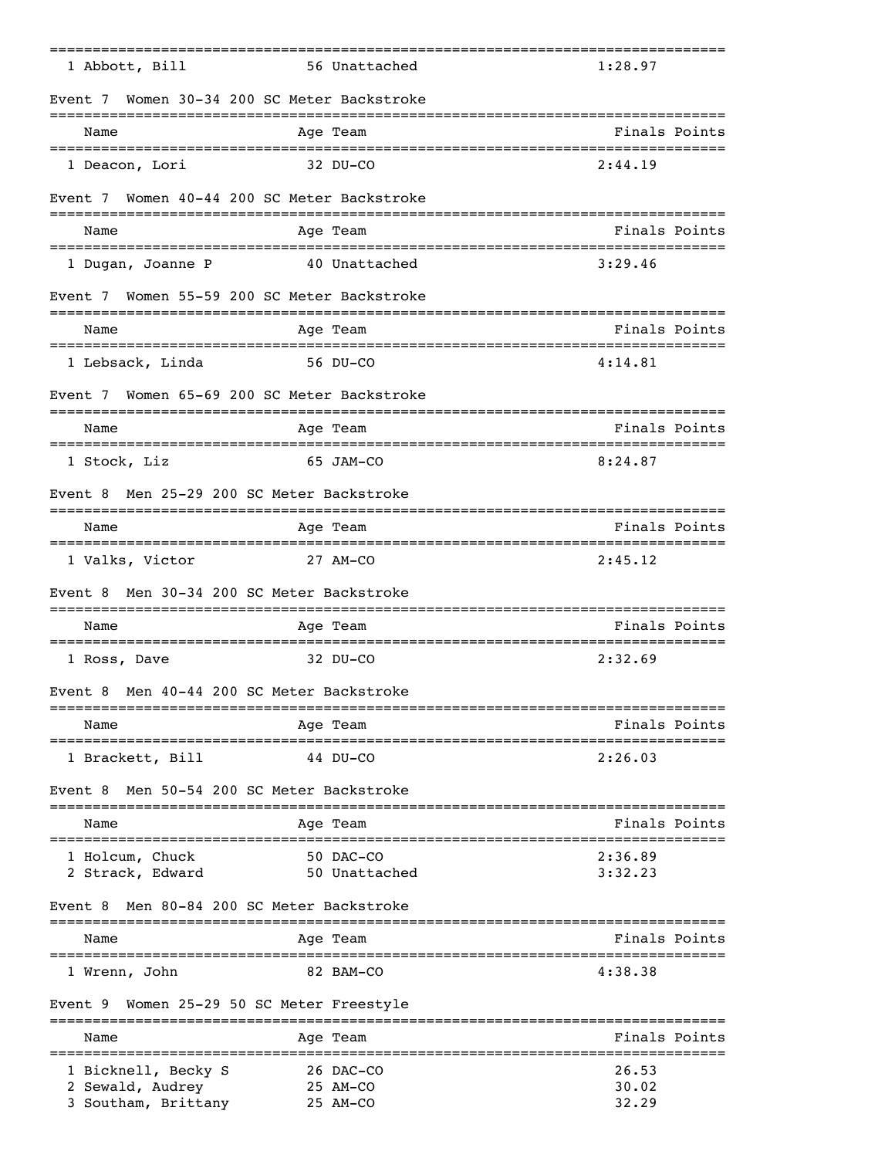| 1 Abbott, Bill                                 | 56 Unattached                                 | 1:28.97                                     |
|------------------------------------------------|-----------------------------------------------|---------------------------------------------|
| Event 7<br>---------------------------------   | Women 30-34 200 SC Meter Backstroke           | -------------------------------------       |
| Name                                           | Age Team                                      | Finals Points                               |
| 1 Deacon, Lori                                 | 32 DU-CO                                      | 2:44.19                                     |
| Event 7                                        | Women 40-44 200 SC Meter Backstroke           |                                             |
| Name                                           | Age Team                                      | Finals Points                               |
| 1 Dugan, Joanne P                              | 40 Unattached                                 | 3:29.46                                     |
| Event 7 Women 55-59 200 SC Meter Backstroke    |                                               |                                             |
| Name                                           | ==================<br>Age Team                | ,,,,,,,,,,,,,,,,,,,,,,,,,,<br>Finals Points |
| 1 Lebsack, Linda                               | 56 DU-CO                                      | 4:14.81                                     |
| Event 7 Women 65-69 200 SC Meter Backstroke    |                                               |                                             |
| Name                                           | Age Team                                      | Finals Points                               |
| 1 Stock, Liz                                   | 65 JAM-CO                                     | 8:24.87                                     |
| Event 8                                        | Men 25-29 200 SC Meter Backstroke             |                                             |
| Name                                           | Age Team                                      | Finals Points                               |
| 1 Valks, Victor                                | 27 AM-CO                                      | 2:45.12                                     |
| Event 8                                        | Men 30-34 200 SC Meter Backstroke             |                                             |
| ======================================<br>Name | Age Team                                      | Finals Points                               |
| 1 Ross, Dave                                   | $32$ DU-CO                                    | 2:32.69                                     |
| Event 8                                        | Men 40-44 200 SC Meter Backstroke             |                                             |
| Name                                           | Age Team                                      | Finals Points                               |
| 1 Brackett, Bill                               | 44 DU-CO                                      | 2:26.03                                     |
| Event 8                                        | Men 50-54 200 SC Meter Backstroke             |                                             |
| Name                                           | Age Team                                      | Finals Points                               |
| 1 Holcum, Chuck                                | 50 DAC-CO                                     | 2:36.89                                     |
| 2 Strack, Edward                               | 50 Unattached                                 | 3:32.23                                     |
| Event 8                                        | Men 80-84 200 SC Meter Backstroke             |                                             |
| Name                                           | Age Team                                      | Finals Points                               |
| 1 Wrenn, John                                  | 82 BAM-CO                                     | 4:38.38                                     |
| Event 9                                        | Women 25-29 50 SC Meter Freestyle<br>-------- |                                             |
| Name                                           | Age Team                                      | Finals Points                               |
| 1 Bicknell, Becky S<br>2 Sewald, Audrey        | 26 DAC-CO<br>25 AM-CO                         | 26.53<br>30.02                              |
| 3 Southam, Brittany                            | 25 AM-CO                                      | 32.29                                       |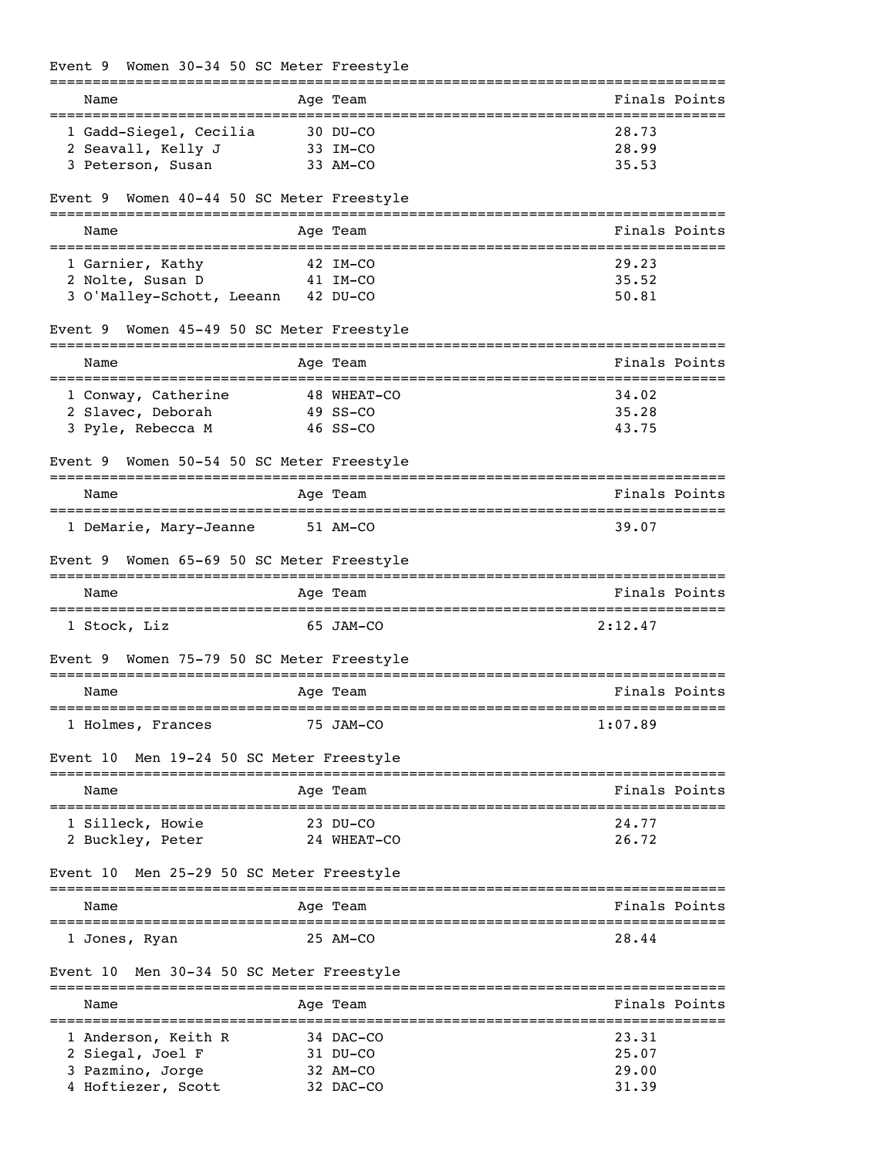## Event 9 Women 30-34 50 SC Meter Freestyle

|                                              |            | --------    | ============================   |
|----------------------------------------------|------------|-------------|--------------------------------|
| Name                                         |            | Age Team    | Finals Points<br>.============ |
| 1 Gadd-Siegel, Cecilia                       | 30 DU-CO   |             | 28.73                          |
| 2 Seavall, Kelly J                           | 33 IM-CO   |             | 28.99                          |
| 3 Peterson, Susan                            |            | 33 AM-CO    | 35.53                          |
| Women 40-44 50 SC Meter Freestyle<br>Event 9 |            |             |                                |
| Name                                         |            | Age Team    | Finals Points                  |
| 1 Garnier, Kathy                             |            | 42 IM-CO    | 29.23                          |
| 2 Nolte, Susan D                             | 41 IM-CO   |             | 35.52                          |
| 3 O'Malley-Schott, Leeann 42 DU-CO           |            |             | 50.81                          |
| Women 45-49 50 SC Meter Freestyle<br>Event 9 |            |             | ================               |
| Name<br>=========================            |            | Age Team    | Finals Points                  |
| 1 Conway, Catherine                          |            | 48 WHEAT-CO | 34.02                          |
| 2 Slavec, Deborah                            |            | 49 SS-CO    | 35.28                          |
| 3 Pyle, Rebecca M                            |            | $46$ SS-CO  | 43.75                          |
| Women 50-54 50 SC Meter Freestyle<br>Event 9 |            |             |                                |
| Name                                         |            | Age Team    | Finals Points                  |
| 1 DeMarie, Mary-Jeanne                       | 51 AM-CO   |             | 39.07                          |
| Women 65-69 50 SC Meter Freestyle<br>Event 9 |            |             |                                |
| Name                                         |            | Age Team    | Finals Points                  |
| 1 Stock, Liz                                 |            | 65 JAM-CO   | 2:12.47                        |
| Women 75-79 50 SC Meter Freestyle<br>Event 9 | ---------- |             |                                |
| Name                                         |            | Age Team    | Finals Points                  |
| 1 Holmes, Frances                            |            | 75 JAM-CO   | 1:07.89                        |
| Event 10 Men 19-24 50 SC Meter Freestyle     |            |             |                                |
| Name                                         |            | Age Team    | Finals Points                  |
| 1 Silleck, Howie                             |            | 23 DU-CO    | 24.77                          |
| 2 Buckley, Peter                             |            | 24 WHEAT-CO | 26.72                          |
| Men 25-29 50 SC Meter Freestyle<br>Event 10  |            |             |                                |
| Name                                         |            | Age Team    | Finals Points                  |
| 1 Jones, Ryan                                |            | 25 AM-CO    | 28.44                          |
| Men 30-34 50 SC Meter Freestyle<br>Event 10  |            |             |                                |
| Name                                         |            | Age Team    | Finals Points                  |
| 1 Anderson, Keith R                          |            | 34 DAC-CO   | 23.31                          |
| 2 Siegal, Joel F                             |            | 31 DU-CO    | 25.07                          |
| 3 Pazmino, Jorge                             |            | 32 AM-CO    | 29.00                          |
| 4 Hoftiezer, Scott                           |            | 32 DAC-CO   | 31.39                          |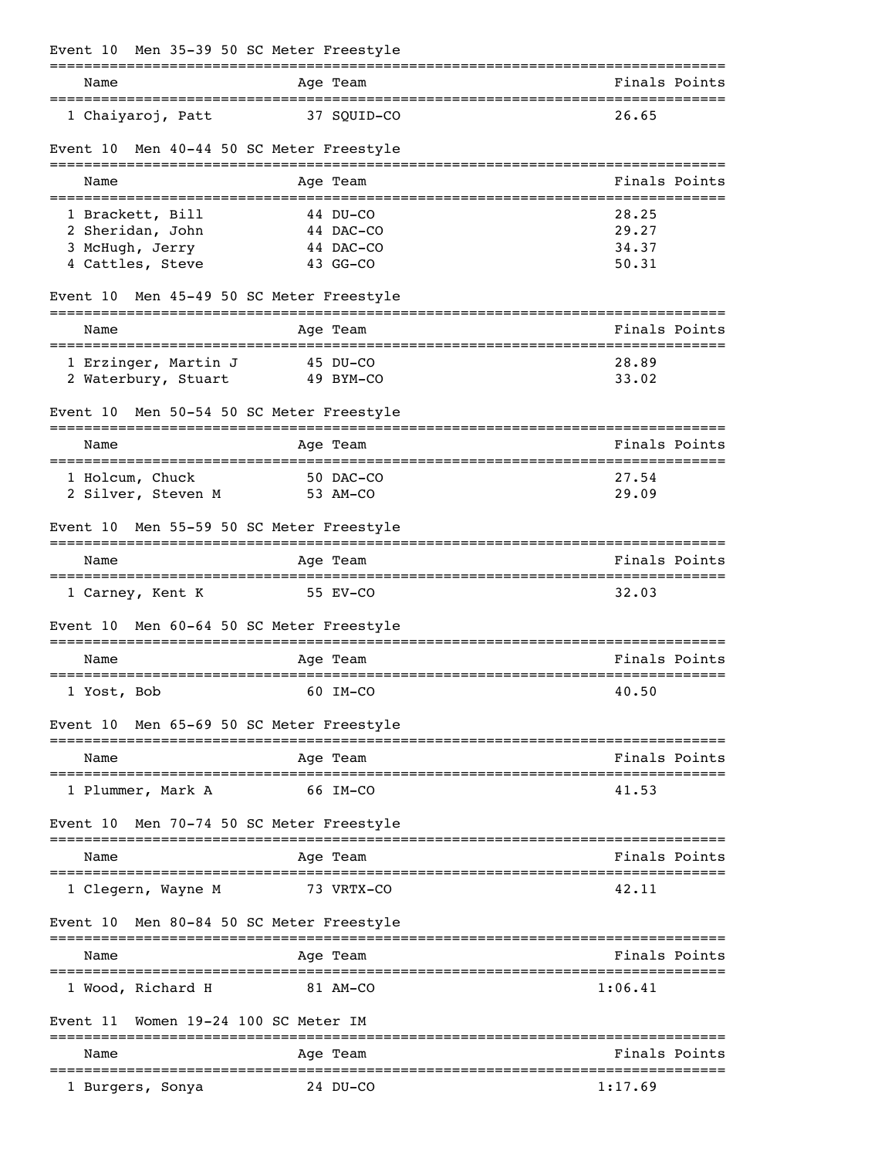|          |                      | Event 10 Men 35-39 50 SC Meter Freestyle                |                                                        |
|----------|----------------------|---------------------------------------------------------|--------------------------------------------------------|
| Name     |                      | Age Team                                                | Finals Points                                          |
|          | 1 Chaiyaroj, Patt    | 37 SQUID-CO                                             | 26.65                                                  |
| Event 10 |                      | Men 40-44 50 SC Meter Freestyle                         |                                                        |
| Name     |                      | Age Team                                                | Finals Points<br>_____________________________________ |
|          | 1 Brackett, Bill     | 44 DU-CO                                                | 28.25                                                  |
|          | 2 Sheridan, John     | 44 DAC-CO                                               | 29.27                                                  |
|          | 3 McHugh, Jerry      | 44 DAC-CO                                               | 34.37                                                  |
|          | 4 Cattles, Steve     | 43 GG-CO                                                | 50.31                                                  |
| Event 10 |                      | Men 45-49 50 SC Meter Freestyle<br>____________________ |                                                        |
| Name     |                      | Age Team                                                | Finals Points                                          |
|          | 1 Erzinger, Martin J | 45 DU-CO                                                | 28.89                                                  |
|          | 2 Waterbury, Stuart  | 49 BYM-CO                                               | 33.02                                                  |
| Event 10 |                      | Men 50-54 50 SC Meter Freestyle                         |                                                        |
| Name     |                      | Age Team                                                | Finals Points                                          |
|          | 1 Holcum, Chuck      | 50 DAC-CO                                               | 27.54                                                  |
|          | 2 Silver, Steven M   | 53 AM-CO                                                | 29.09                                                  |
| Event 10 |                      | Men 55-59 50 SC Meter Freestyle                         |                                                        |
| Name     |                      | Age Team                                                | Finals Points                                          |
|          | 1 Carney, Kent K     | 55 EV-CO                                                | 32.03                                                  |
| Event 10 |                      | Men 60-64 50 SC Meter Freestyle                         |                                                        |
| Name     |                      | Age Team                                                | Finals Points                                          |
|          | 1 Yost, Bob          | 60 IM-CO                                                | ======================<br>40.50                        |
|          |                      | Event 10 Men 65-69 50 SC Meter Freestyle                |                                                        |
| Name     |                      | Age Team                                                | Finals Points                                          |
|          | 1 Plummer, Mark A    | 66 IM-CO                                                | 41.53                                                  |
| Event 10 |                      | Men 70-74 50 SC Meter Freestyle                         |                                                        |
| Name     |                      | Age Team                                                | Finals Points                                          |
|          | l Clegern, Wayne M   | 73 VRTX-CO                                              | 42.11                                                  |
| Event 10 |                      | Men 80-84 50 SC Meter Freestyle                         |                                                        |
| Name     |                      | Age Team                                                | Finals Points                                          |
|          | 1 Wood, Richard H    | 81 AM-CO                                                | 1:06.41                                                |
| Event 11 |                      | Women 19-24 100 SC Meter IM                             |                                                        |
| Name     |                      | Age Team<br>=================                           | Finals Points<br>-================================     |
|          | 1 Burgers, Sonya     | 24 DU-CO                                                | 1:17.69                                                |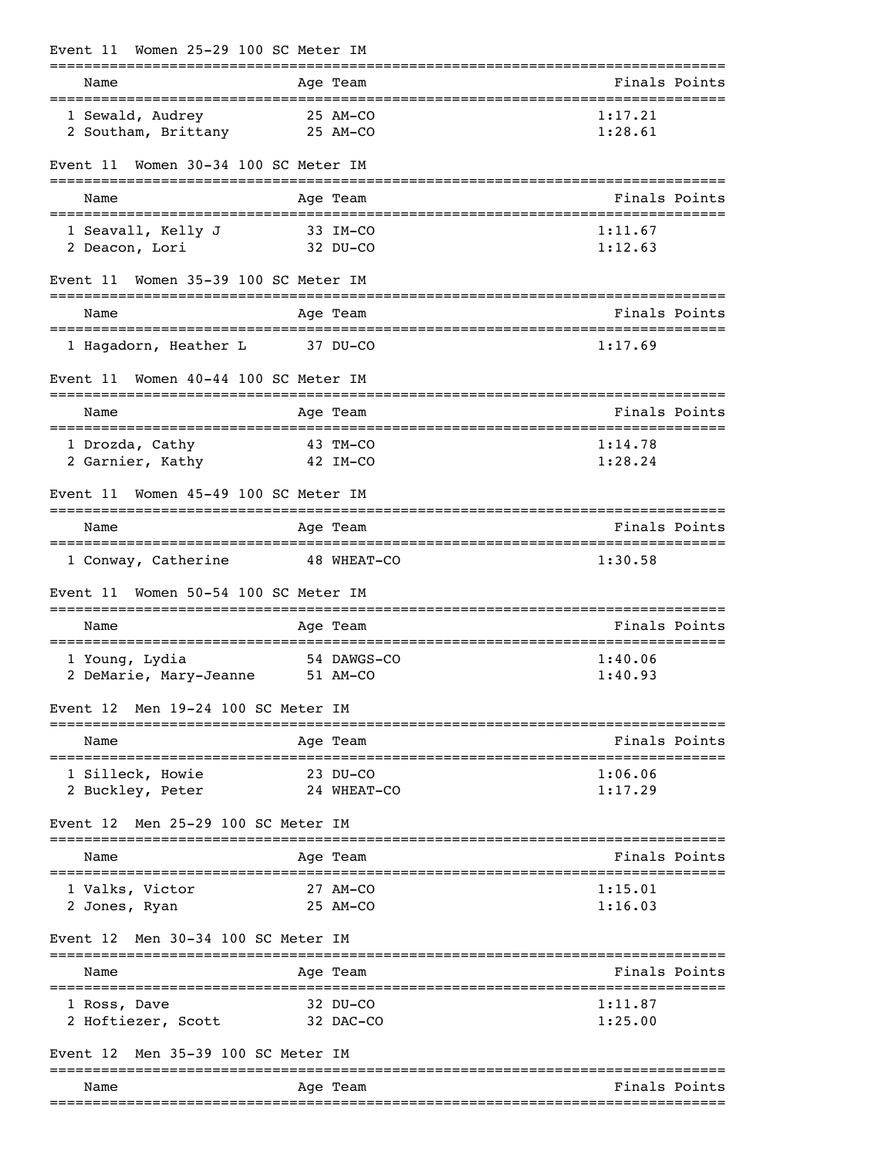| Women 25-29 100 SC Meter IM<br>Event 11        |                         |                             |
|------------------------------------------------|-------------------------|-----------------------------|
| Name<br>-------------------------------------- | Age Team                | Finals Points               |
| 1 Sewald, Audrey<br>2 Southam, Brittany        | 25 AM-CO<br>25 AM-CO    | 1:17.21<br>1:28.61          |
| Women 30-34 100 SC Meter IM<br>Event 11        |                         |                             |
| Name                                           | Age Team                | Finals Points               |
| 1 Seavall, Kelly J<br>2 Deacon, Lori           | 33 IM-CO<br>32 DU-CO    | 1:11.67<br>1:12.63          |
| Women 35-39 100 SC Meter IM<br>Event 11        |                         |                             |
| Name                                           | Age Team                | Finals Points               |
| 1 Hagadorn, Heather L                          | 37 DU-CO                | 1:17.69                     |
| Women 40-44 100 SC Meter IM<br>Event 11        |                         |                             |
| Name                                           | Age Team                | Finals Points               |
| 1 Drozda, Cathy<br>2 Garnier, Kathy            | 43 TM-CO<br>42 IM-CO    | 1:14.78<br>1:28.24          |
| Women 45-49 100 SC Meter IM<br>Event 11        |                         |                             |
| Name                                           | Age Team                | Finals Points               |
| 1 Conway, Catherine                            | 48 WHEAT-CO             | 1:30.58                     |
| Women 50-54 100 SC Meter IM<br>Event 11        |                         |                             |
| Name                                           | Age Team                | Finals Points               |
| 1 Young, Lydia<br>2 DeMarie, Mary-Jeanne       | 54 DAWGS-CO<br>51 AM-CO | 1:40.06<br>1:40.93          |
| Event 12 Men 19-24 100 SC Meter IM             |                         |                             |
| Name                                           | Age Team                | Finals Points               |
| 1 Silleck, Howie<br>2 Buckley, Peter           | 23 DU-CO<br>24 WHEAT-CO | 1:06.06<br>1:17.29          |
| Men 25-29 100 SC Meter IM<br>Event 12          |                         |                             |
| Name                                           | Age Team                | Finals Points               |
| 1 Valks, Victor<br>2 Jones, Ryan               | 27 AM-CO<br>25 AM-CO    | 1:15.01<br>1:16.03          |
| Men 30-34 100 SC Meter IM<br>Event 12          |                         |                             |
| Name<br>=======================                | Age Team                | Finals Points<br>---------- |
| 1 Ross, Dave<br>2 Hoftiezer, Scott             | 32 DU-CO<br>32 DAC-CO   | 1:11.87<br>1:25.00          |
| Men 35-39 100 SC Meter IM<br>Event 12          |                         |                             |
| Name                                           | Age Team                | Finals Points               |
|                                                |                         |                             |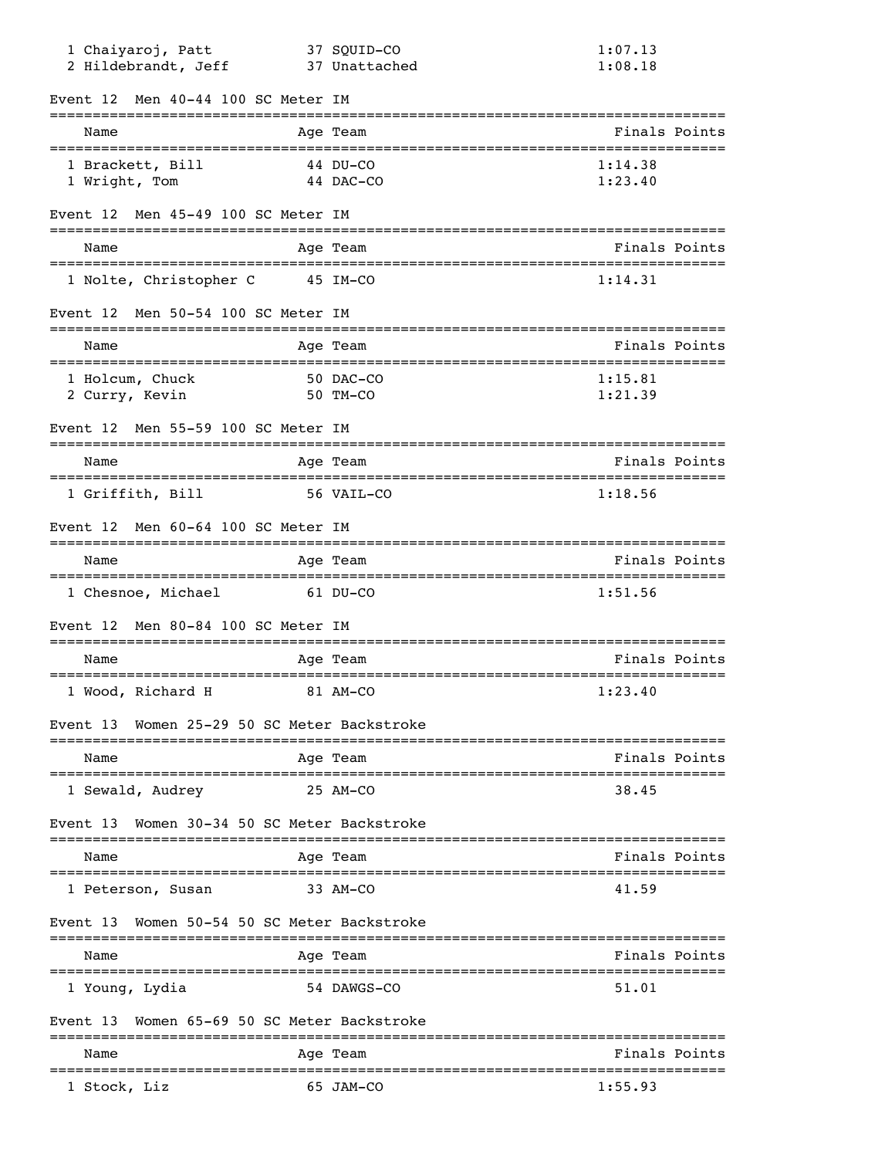| 1 Chaiyaroj, Patt<br>2 Hildebrandt, Jeff            | 37 SQUID-CO<br>37 Unattached        | 1:07.13<br>1:08.18 |
|-----------------------------------------------------|-------------------------------------|--------------------|
| Men 40-44 100 SC Meter IM<br>Event 12               |                                     |                    |
| Name                                                | Age Team                            | Finals Points      |
| 1 Brackett, Bill<br>1 Wright, Tom                   | 44 DU-CO<br>44 DAC-CO               | 1:14.38<br>1:23.40 |
| Men 45-49 100 SC Meter IM<br>Event 12               |                                     |                    |
| Name                                                | Age Team                            | Finals Points      |
| 1 Nolte, Christopher C                              | 45 IM-CO                            | 1:14.31            |
| Men 50-54 100 SC Meter IM<br>Event 12               |                                     |                    |
| Name                                                | Age Team                            | Finals Points      |
| 1 Holcum, Chuck<br>2 Curry, Kevin                   | 50 DAC-CO<br>50 TM-CO               | 1:15.81<br>1:21.39 |
| Men 55-59 100 SC Meter IM<br>Event 12               |                                     |                    |
| Name                                                | Age Team                            | Finals Points      |
| 1 Griffith, Bill                                    | 56 VAIL-CO                          | 1:18.56            |
| Men 60-64 100 SC Meter IM<br>Event 12               |                                     |                    |
| Name                                                | Age Team                            | Finals Points      |
| 1 Chesnoe, Michael                                  | 61 DU-CO                            | 1:51.56            |
| Men 80-84 100 SC Meter IM<br>Event 12               |                                     |                    |
| Name                                                | Age Team                            | Finals Points      |
| 1 Wood, Richard H<br>81 AM-CO                       |                                     | 1:23.40            |
| Event 13 Women 25-29 50 SC Meter Backstroke         | ----------------------------------- |                    |
| Name                                                | Age Team<br>__________________      | Finals Points      |
| ===============================<br>1 Sewald, Audrey | 25 AM-CO                            | 38.45              |
| Women 30-34 50 SC Meter Backstroke<br>Event 13      |                                     |                    |
| -====================================<br>Name       | Age Team                            | Finals Points      |
| 1 Peterson, Susan                                   | 33 AM-CO                            | 41.59              |
| Women 50-54 50 SC Meter Backstroke<br>Event 13      |                                     |                    |
| Name                                                | Age Team                            | Finals Points      |
| 1 Young, Lydia                                      | 54 DAWGS-CO                         | 51.01              |
| Women 65-69 50 SC Meter Backstroke<br>Event 13      |                                     |                    |
| Name                                                | :==================<br>Age Team     | Finals Points      |
| 1 Stock, Liz                                        | 65 JAM-CO                           | 1:55.93            |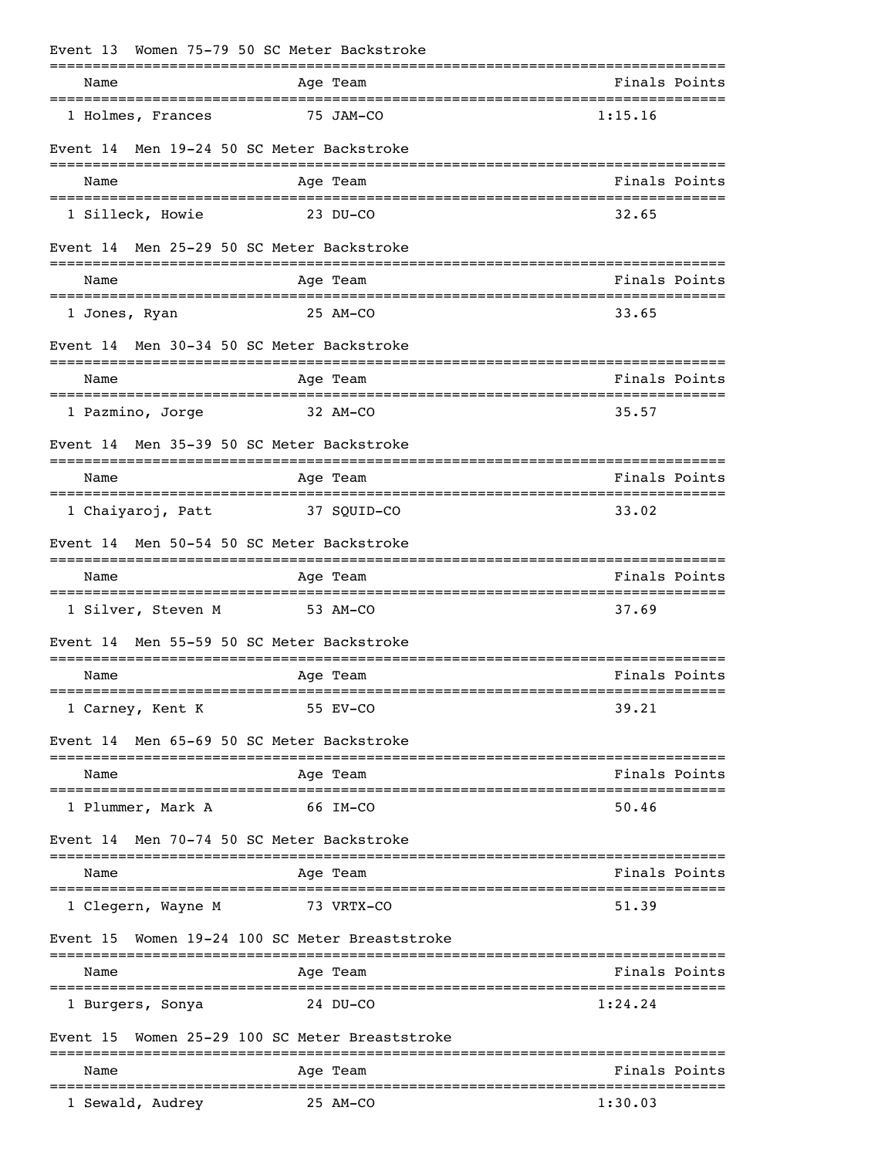| Event 13 Women 75-79 50 SC Meter Backstroke            | ----------                            |                                                     |
|--------------------------------------------------------|---------------------------------------|-----------------------------------------------------|
| Name<br>______________________________________         | Age Team                              | Finals Points                                       |
| 1 Holmes, Frances                                      | 75 JAM-CO                             | 1:15.16                                             |
| Event 14                                               | Men 19-24 50 SC Meter Backstroke      |                                                     |
| Name                                                   | Age Team                              | Finals Points                                       |
| 1 Silleck, Howie                                       | 23 DU-CO                              | 32.65                                               |
| Event 14                                               | Men 25-29 50 SC Meter Backstroke      |                                                     |
| Name                                                   | Age Team                              | Finals Points                                       |
| 1 Jones, Ryan                                          | 25 AM-CO                              | 33.65                                               |
| Event 14 Men 30-34 50 SC Meter Backstroke              |                                       |                                                     |
| Name                                                   | Age Team                              | Finals Points<br>---------------------------------- |
| 1 Pazmino, Jorge                                       | 32 AM-CO                              | 35.57                                               |
| Event 14                                               | Men 35-39 50 SC Meter Backstroke      |                                                     |
| Name                                                   | Age Team                              | Finals Points                                       |
| 1 Chaiyaroj, Patt                                      | 37 SQUID-CO                           | 33.02                                               |
| Event 14                                               | Men 50-54 50 SC Meter Backstroke      |                                                     |
| Name                                                   | Age Team                              | Finals Points                                       |
| 1 Silver, Steven M                                     | 53 AM-CO                              | 37.69                                               |
| Event 14                                               | Men 55-59 50 SC Meter Backstroke      |                                                     |
| Name                                                   | Age Team                              | Finals Points                                       |
| 1 Carney, Kent K                                       | 55 EV-CO                              | 39.21                                               |
| Event 14                                               | Men 65-69 50 SC Meter Backstroke      |                                                     |
| Name                                                   | Age Team                              | Finals Points                                       |
| 1 Plummer, Mark A                                      | 66 IM-CO                              | 50.46                                               |
| Event 14                                               | Men 70-74 50 SC Meter Backstroke      |                                                     |
| Name                                                   | Age Team                              | Finals Points                                       |
| 1 Clegern, Wayne M                                     | 73 VRTX-CO                            | 51.39                                               |
| Event 15                                               | Women 19-24 100 SC Meter Breaststroke |                                                     |
| Name                                                   | Age Team                              | Finals Points                                       |
| ==================================<br>1 Burgers, Sonya | 24 DU-CO                              | 1:24.24                                             |
| Event 15                                               | Women 25-29 100 SC Meter Breaststroke |                                                     |
| Name                                                   | ========<br>Age Team                  | Finals Points                                       |
| 1 Sewald, Audrey                                       | =================<br>25 AM-CO         | ==========================<br>1:30.03               |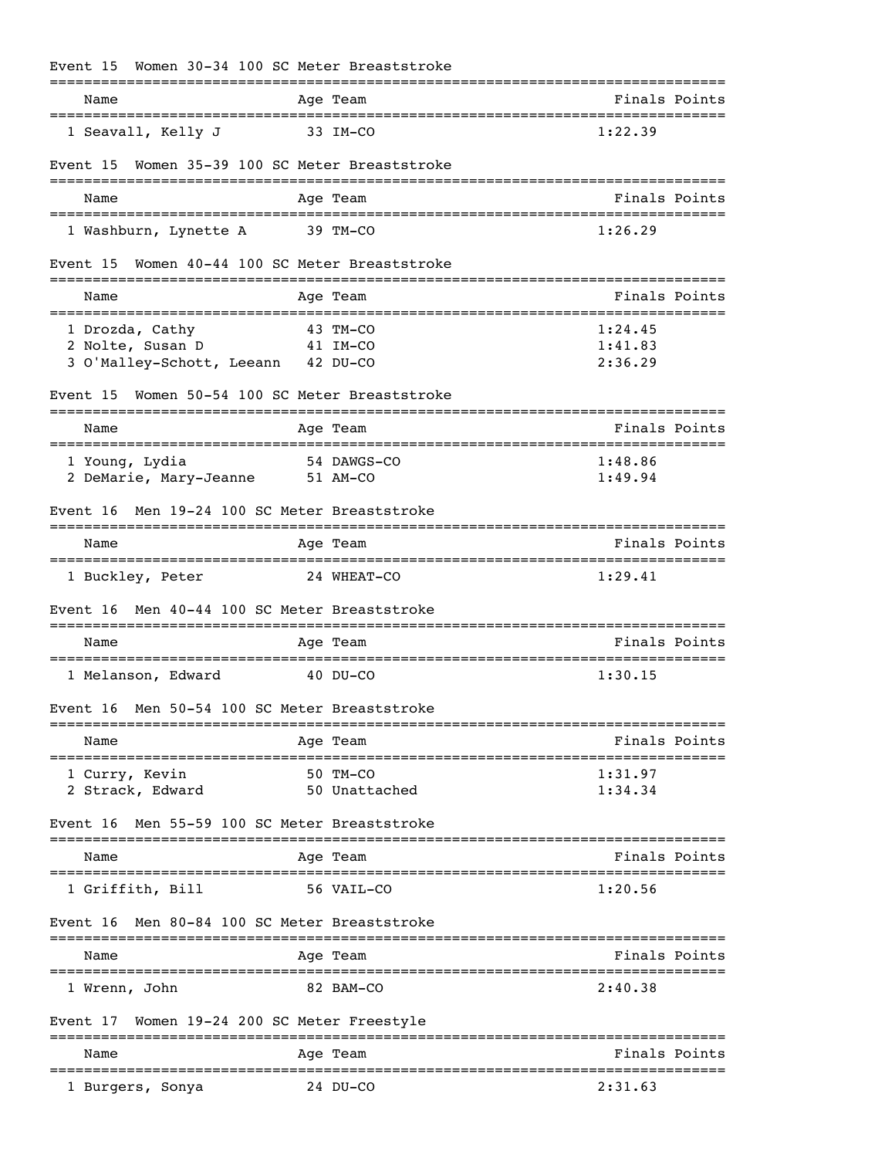| Event 15                                                                  | Women 30-34 100 SC Meter Breaststroke                      |                               |
|---------------------------------------------------------------------------|------------------------------------------------------------|-------------------------------|
| Name                                                                      | Age Team                                                   | Finals Points                 |
| 1 Seavall, Kelly J                                                        | 33 IM-CO                                                   | 1:22.39                       |
| Event 15                                                                  | Women 35-39 100 SC Meter Breaststroke<br>================= | ---------------------------   |
| Name                                                                      | Age Team                                                   | Finals Points                 |
| 1 Washburn, Lynette A                                                     | 39 TM-CO                                                   | 1:26.29                       |
| Event 15                                                                  | Women 40-44 100 SC Meter Breaststroke                      |                               |
| Name                                                                      | Age Team                                                   | Finals Points                 |
| 1 Drozda, Cathy<br>2 Nolte, Susan D<br>3 O'Malley-Schott, Leeann 42 DU-CO | 43 TM-CO<br>41 IM-CO                                       | 1:24.45<br>1:41.83<br>2:36.29 |
| Event 15                                                                  | Women 50-54 100 SC Meter Breaststroke                      |                               |
| Name                                                                      | Age Team                                                   | Finals Points                 |
| 1 Young, Lydia<br>2 DeMarie, Mary-Jeanne                                  | 54 DAWGS-CO<br>51 AM-CO                                    | 1:48.86<br>1:49.94            |
| Event 16                                                                  | Men 19-24 100 SC Meter Breaststroke                        |                               |
| Name                                                                      | Age Team                                                   | Finals Points                 |
| 1 Buckley, Peter                                                          | 24 WHEAT-CO                                                | 1:29.41                       |
| Event 16                                                                  | Men 40-44 100 SC Meter Breaststroke                        |                               |
| Name                                                                      | Age Team                                                   | Finals Points                 |
| 1 Melanson, Edward                                                        | $40$ DU-CO                                                 | 1:30.15                       |
|                                                                           | Event 16 Men 50-54 100 SC Meter Breaststroke               |                               |
| Name                                                                      | Age Team                                                   | Finals Points                 |
| 1 Curry, Kevin<br>2 Strack, Edward                                        | 50 TM-CO<br>50 Unattached                                  | 1:31.97<br>1:34.34            |
| Event 16<br>--------------                                                | Men 55-59 100 SC Meter Breaststroke                        |                               |
| Name                                                                      | Age Team                                                   | Finals Points                 |
| 1 Griffith, Bill                                                          | 56 VAIL-CO                                                 | 1:20.56                       |
| Event 16                                                                  | Men 80-84 100 SC Meter Breaststroke                        |                               |
| Name                                                                      | Age Team                                                   | Finals Points                 |
| 1 Wrenn, John                                                             | 82 BAM-CO                                                  | 2:40.38                       |
| Event 17                                                                  | Women 19-24 200 SC Meter Freestyle                         |                               |
| Name                                                                      | Age Team                                                   | Finals Points                 |
| 1 Burgers, Sonya                                                          | 24 DU-CO                                                   | 2:31.63                       |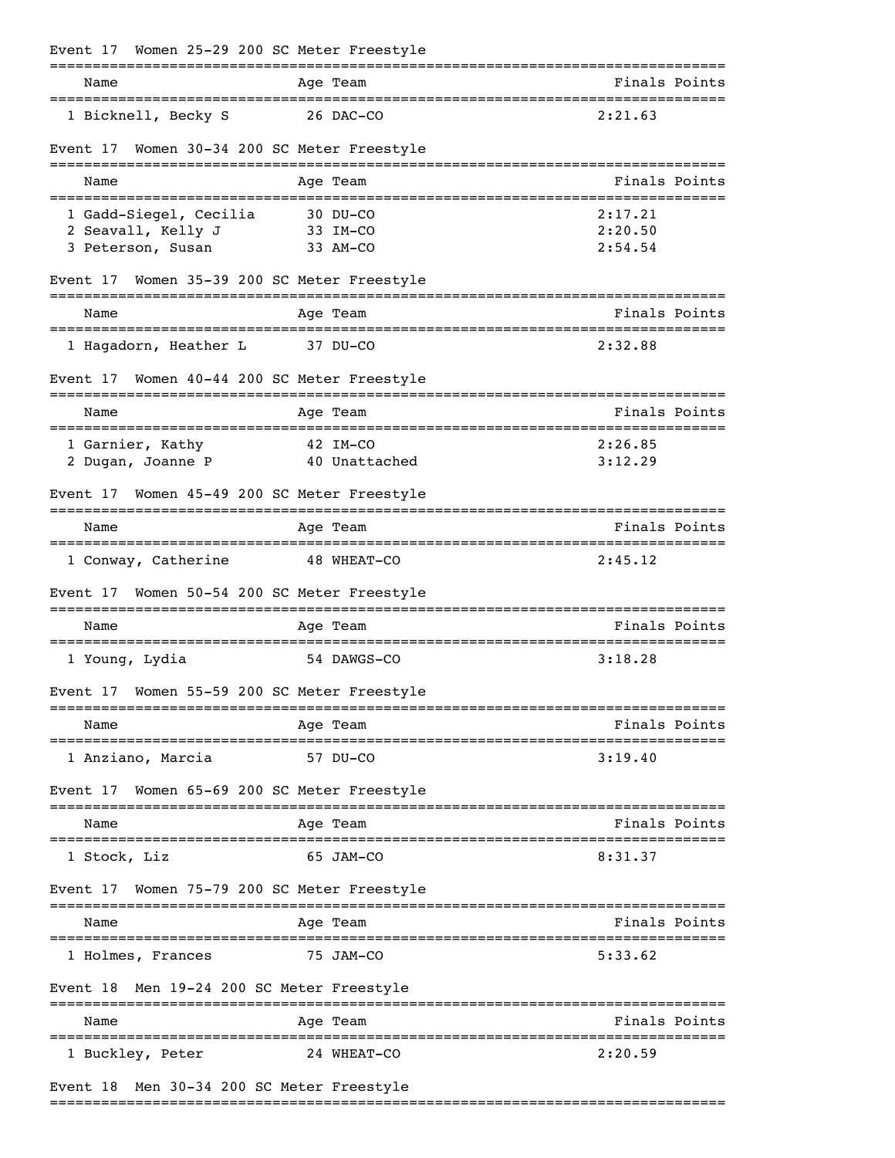| Event 17 Women 25-29 200 SC Meter Freestyle |                                    |          |               |               |
|---------------------------------------------|------------------------------------|----------|---------------|---------------|
| Name                                        |                                    | Age Team |               | Finals Points |
| 1 Bicknell, Becky S                         |                                    |          | 26 DAC-CO     | 2:21.63       |
| Event 17                                    | Women 30-34 200 SC Meter Freestyle |          |               |               |
| Name                                        |                                    | Age Team |               | Finals Points |
| 1 Gadd-Siegel, Cecilia                      |                                    | 30 DU-CO |               | 2:17.21       |
| 2 Seavall, Kelly J                          |                                    | 33 IM-CO |               | 2:20.50       |
| 3 Peterson, Susan                           |                                    | 33 AM-CO |               | 2:54.54       |
| Event 17                                    | Women 35-39 200 SC Meter Freestyle |          |               |               |
| Name                                        |                                    | Age Team |               | Finals Points |
| 1 Hagadorn, Heather L                       |                                    | 37 DU-CO |               | 2:32.88       |
| Event 17                                    | Women 40-44 200 SC Meter Freestyle |          |               |               |
| Name                                        |                                    | Age Team |               | Finals Points |
| 1 Garnier, Kathy                            |                                    | 42 IM-CO |               | 2:26.85       |
| 2 Dugan, Joanne P                           |                                    |          | 40 Unattached | 3:12.29       |
| Event 17                                    | Women 45-49 200 SC Meter Freestyle |          |               |               |
| Name                                        |                                    | Age Team |               | Finals Points |
| 1 Conway, Catherine                         |                                    |          | 48 WHEAT-CO   | 2:45.12       |
| Event 17                                    | Women 50-54 200 SC Meter Freestyle |          |               |               |
| Name                                        |                                    | Age Team |               | Finals Points |
| 1 Young, Lydia                              |                                    |          | 54 DAWGS-CO   | 3:18.28       |
| Event 17                                    | Women 55-59 200 SC Meter Freestyle |          |               |               |
| Name                                        |                                    | Age Team | =========     | Finals Points |
| 1 Anziano, Marcia                           |                                    | 57 DU-CO |               | 3:19.40       |
| Event 17                                    | Women 65-69 200 SC Meter Freestyle |          |               |               |
| Name                                        |                                    | Age Team |               | Finals Points |
| 1 Stock, Liz                                |                                    |          | 65 JAM-CO     | 8:31.37       |
| Event 17 Women 75-79 200 SC Meter Freestyle |                                    |          |               |               |
| Name                                        |                                    | Age Team |               | Finals Points |
| 1 Holmes, Frances                           |                                    |          | 75 JAM-CO     | 5:33.62       |
| Event 18 Men 19-24 200 SC Meter Freestyle   |                                    |          |               |               |
| Name                                        | =====================              | Age Team |               | Finals Points |
| 1 Buckley, Peter                            |                                    |          | 24 WHEAT-CO   | 2:20.59       |
| Event 18 Men 30-34 200 SC Meter Freestyle   |                                    |          |               |               |

===============================================================================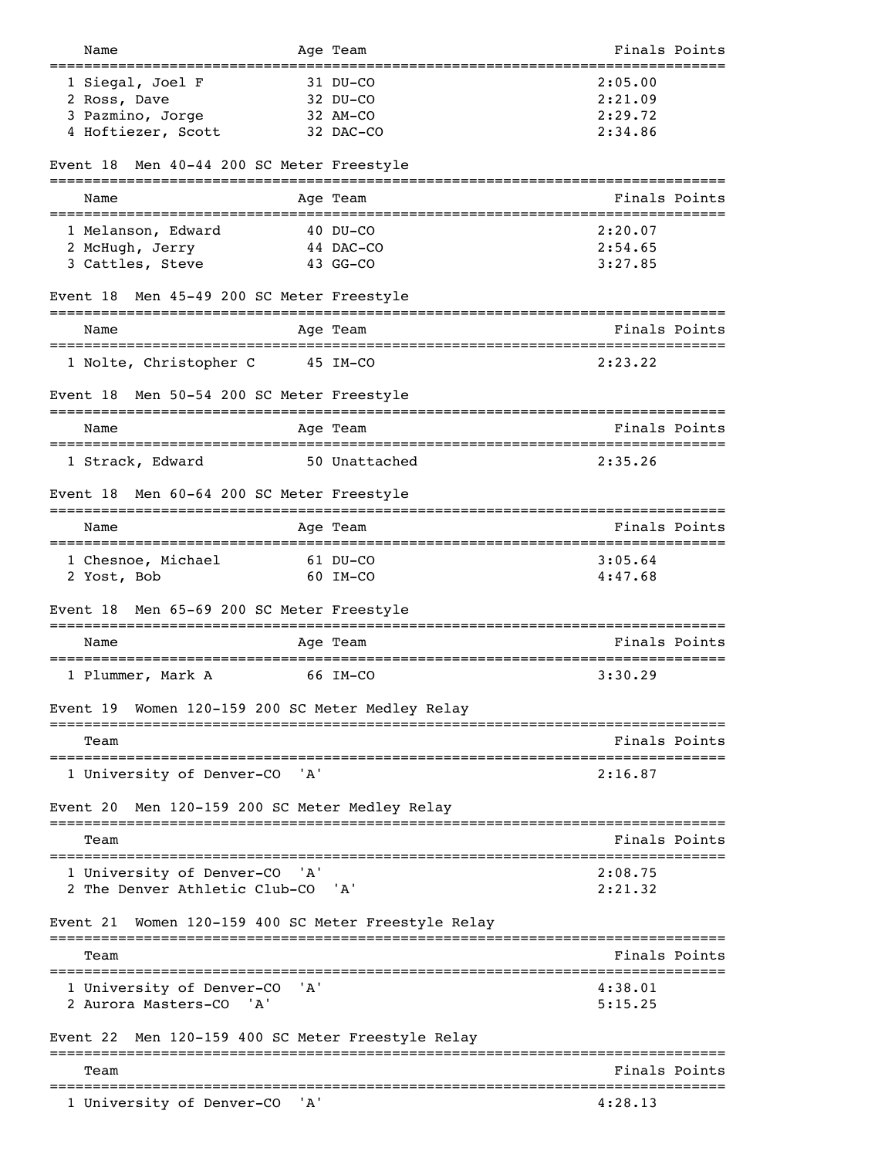| Name                                                    |         | Age Team                                        | Finals Points                         |  |
|---------------------------------------------------------|---------|-------------------------------------------------|---------------------------------------|--|
| 1 Siegal, Joel F                                        |         | ============<br>31 DU-CO                        | 2:05.00                               |  |
| 2 Ross, Dave                                            |         | 32 DU-CO                                        | 2:21.09                               |  |
| 3 Pazmino, Jorge                                        |         | 32 AM-CO                                        | 2:29.72                               |  |
| 4 Hoftiezer, Scott                                      |         | 32 DAC-CO                                       | 2:34.86                               |  |
|                                                         |         |                                                 |                                       |  |
| Men 40-44 200 SC Meter Freestyle<br>Event 18            |         |                                                 |                                       |  |
| Name                                                    |         | Aqe Team                                        | Finals Points                         |  |
| 1 Melanson, Edward                                      |         | $40$ DU-CO                                      | 2:20.07                               |  |
| 2 McHugh, Jerry                                         |         | 44 DAC-CO                                       | 2:54.65                               |  |
| 3 Cattles, Steve                                        |         | $43$ GG-CO                                      | 3:27.85                               |  |
| Men 45-49 200 SC Meter Freestyle<br>Event 18            |         |                                                 |                                       |  |
| Name                                                    |         | Age Team                                        | Finals Points                         |  |
| 1 Nolte, Christopher C                                  |         | 45 IM-CO                                        | 2:23.22                               |  |
|                                                         |         |                                                 |                                       |  |
| Men 50-54 200 SC Meter Freestyle<br>Event 18            |         |                                                 |                                       |  |
| Name                                                    |         | Aqe Team                                        | Finals Points                         |  |
| 1 Strack, Edward                                        |         | ============================<br>50 Unattached   | 2:35.26                               |  |
|                                                         |         |                                                 |                                       |  |
| Men 60-64 200 SC Meter Freestyle<br>Event 18            |         |                                                 |                                       |  |
| Name                                                    |         | Age Team                                        | Finals Points                         |  |
| 1 Chesnoe, Michael                                      |         | 61 DU-CO                                        | 3:05.64                               |  |
| 2 Yost, Bob                                             |         | 60 IM-CO                                        | 4:47.68                               |  |
| Men 65-69 200 SC Meter Freestyle<br>Event 18            |         |                                                 |                                       |  |
| Name                                                    |         | Age Team                                        | Finals Points                         |  |
| ==================================<br>1 Plummer, Mark A |         | ===================================<br>66 IM-CO | 3:30.29                               |  |
| Women 120-159 200 SC Meter Medley Relay<br>Event 19     |         |                                                 |                                       |  |
| Team                                                    |         |                                                 | Finals Points                         |  |
| 1 University of Denver-CO                               | 'A'     |                                                 | 2:16.87                               |  |
|                                                         |         |                                                 |                                       |  |
| Men 120-159 200 SC Meter Medley Relay<br>Event 20       |         |                                                 |                                       |  |
| Team                                                    |         |                                                 | Finals Points<br>-------------------- |  |
| 1 University of Denver-CO 'A'                           |         |                                                 | 2:08.75                               |  |
| 2 The Denver Athletic Club-CO 'A'                       |         |                                                 | 2:21.32                               |  |
| Women 120-159 400 SC Meter Freestyle Relay<br>Event 21  |         |                                                 |                                       |  |
| Team                                                    |         |                                                 | Finals Points                         |  |
| 1 University of Denver-CO                               | 'A'     |                                                 | 4:38.01                               |  |
| 2 Aurora Masters-CO<br>'A'                              |         |                                                 | 5:15.25                               |  |
| Men 120-159 400 SC Meter Freestyle Relay<br>Event 22    |         |                                                 |                                       |  |
|                                                         |         |                                                 |                                       |  |
| Team                                                    |         |                                                 | Finals Points                         |  |
| 1 University of Denver-CO                               | ' ' A ' |                                                 | 4:28.13                               |  |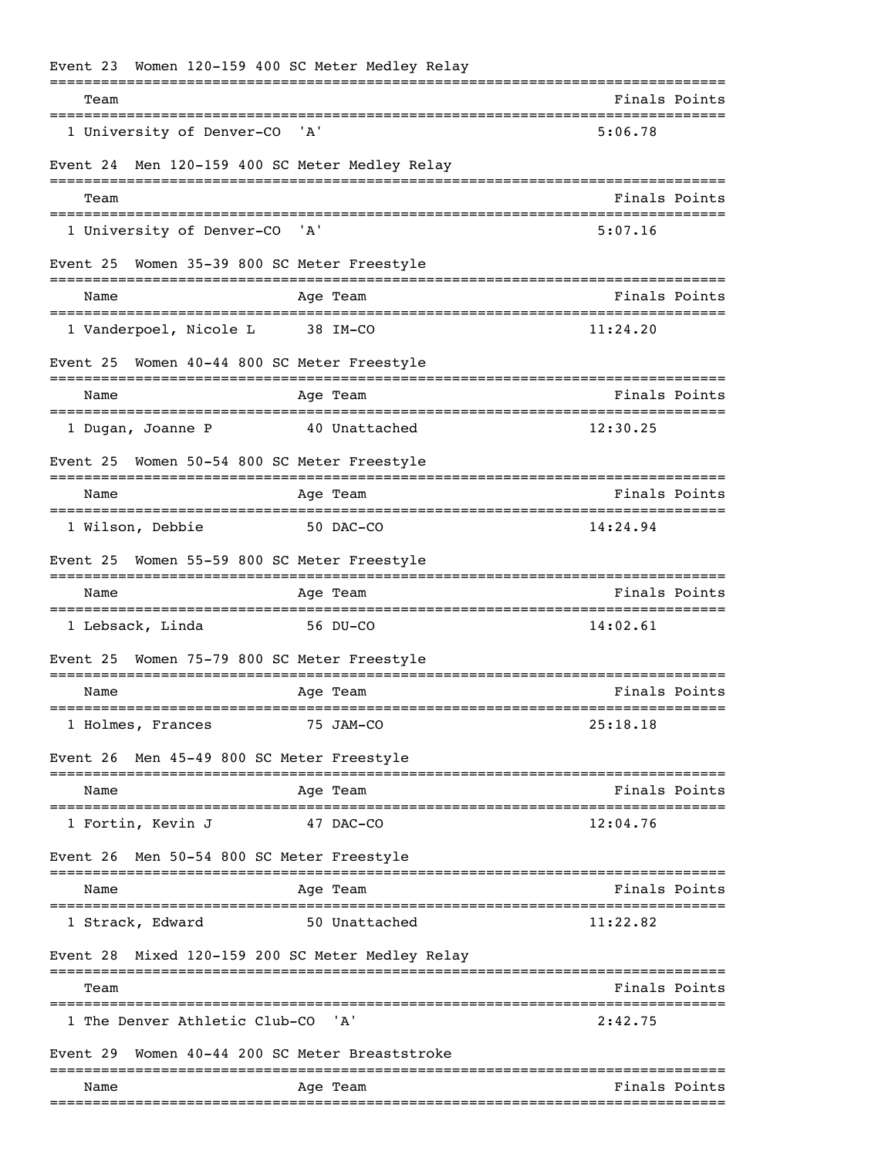|                                            | Event 23 Women 120-159 400 SC Meter Medley Relay                                 |                                               |
|--------------------------------------------|----------------------------------------------------------------------------------|-----------------------------------------------|
| Team                                       |                                                                                  | ============================<br>Finals Points |
| 1 University of Denver-CO                  | ' A '                                                                            | 5:06.78                                       |
| Event 24                                   | Men 120-159 400 SC Meter Medley Relay                                            |                                               |
| Team                                       |                                                                                  | Finals Points                                 |
| 1 University of Denver-CO                  | 'A'                                                                              | 5:07.16                                       |
| Event 25                                   | Women 35-39 800 SC Meter Freestyle<br>:============                              |                                               |
| Name                                       | Age Team                                                                         | Finals Points                                 |
| 1 Vanderpoel, Nicole L                     | 38 IM-CO                                                                         | 11:24.20                                      |
| Event 25                                   | Women 40-44 800 SC Meter Freestyle                                               |                                               |
| Name                                       | Age Team                                                                         | Finals Points                                 |
| 1 Dugan, Joanne P                          | 40 Unattached                                                                    | 12:30.25                                      |
| Event 25                                   | Women 50-54 800 SC Meter Freestyle                                               |                                               |
| Name<br>================================== | Age Team<br>-================================                                    | Finals Points                                 |
| 1 Wilson, Debbie                           | 50 DAC-CO                                                                        | 14:24.94                                      |
| Event 25                                   | Women 55-59 800 SC Meter Freestyle                                               |                                               |
| Name                                       | Age Team                                                                         | Finals Points                                 |
| 1 Lebsack, Linda                           | 56 DU-CO                                                                         | 14:02.61                                      |
| Event 25                                   | Women 75-79 800 SC Meter Freestyle                                               |                                               |
| Name<br>=============                      | Age Team<br>=====                                                                | Finals Points<br>==============               |
| 1 Holmes, Frances                          | 75 JAM-CO                                                                        | 25:18.18                                      |
| Event 26 Men 45-49 800 SC Meter Freestyle  |                                                                                  |                                               |
| Name                                       | Age Team                                                                         | Finals Points                                 |
| 1 Fortin, Kevin J                          | 47 DAC-CO                                                                        | 12:04.76                                      |
| Event 26 Men 50-54 800 SC Meter Freestyle  |                                                                                  |                                               |
| Name                                       | Age Team                                                                         | Finals Points                                 |
| 1 Strack, Edward                           | 50 Unattached                                                                    | 11:22.82                                      |
|                                            | Event 28 Mixed 120-159 200 SC Meter Medley Relay<br>------------<br>------------ |                                               |
| Team<br>-------------------                |                                                                                  | Finals Points                                 |
| 1 The Denver Athletic Club-CO              | 'A'                                                                              | 2:42.75                                       |
| Event 29                                   | Women 40-44 200 SC Meter Breaststroke                                            |                                               |
| Name                                       | Age Team                                                                         | Finals Points                                 |
|                                            |                                                                                  |                                               |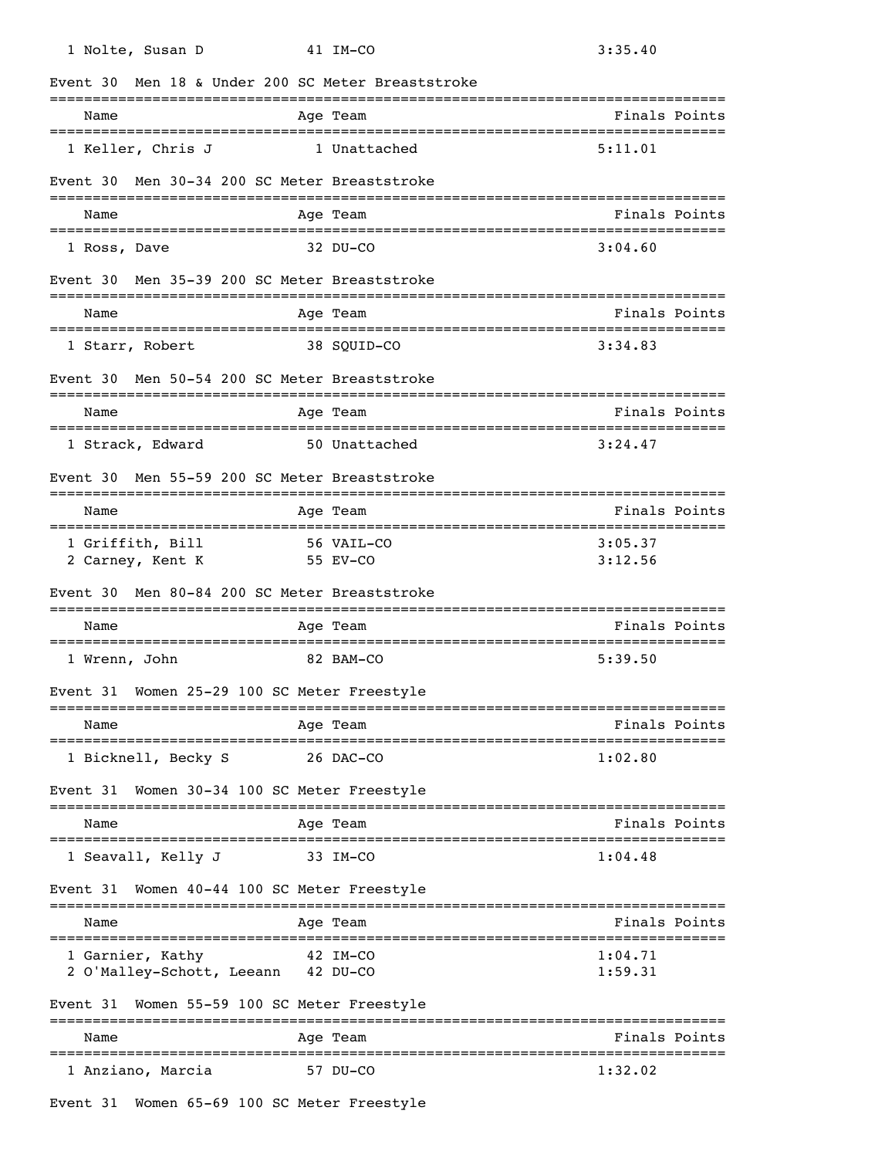| 1 Nolte, Susan D                                          | 41 IM-CO                                        | 3:35.40                         |
|-----------------------------------------------------------|-------------------------------------------------|---------------------------------|
| Event 30                                                  | Men 18 & Under 200 SC Meter Breaststroke        |                                 |
| Name                                                      | Age Team                                        | Finals Points                   |
| 1 Keller, Chris J                                         | 1 Unattached                                    | 5:11.01                         |
| Event 30                                                  | Men 30-34 200 SC Meter Breaststroke             |                                 |
| Name                                                      | Age Team                                        | Finals Points                   |
| 1 Ross, Dave                                              | 32 DU-CO                                        | 3:04.60                         |
| Event 30                                                  | Men 35-39 200 SC Meter Breaststroke             |                                 |
| Name                                                      | Age Team                                        | Finals Points                   |
| ======================================<br>1 Starr, Robert | 38 SOUID-CO                                     | 3:34.83                         |
| Event 30                                                  | Men 50-54 200 SC Meter Breaststroke             |                                 |
| Name                                                      | Age Team                                        | Finals Points                   |
| 1 Strack, Edward                                          | 50 Unattached                                   | 3:24.47                         |
| Event 30                                                  | Men 55-59 200 SC Meter Breaststroke             |                                 |
| Name                                                      | Age Team                                        | Finals Points                   |
| 1 Griffith, Bill                                          | 56 VAIL-CO                                      | 3:05.37                         |
| 2 Carney, Kent K                                          | 55 EV-CO                                        | 3:12.56                         |
| Event 30                                                  | Men 80-84 200 SC Meter Breaststroke             |                                 |
| Name                                                      | Age Team                                        | Finals Points                   |
| 1 Wrenn, John                                             | 82 BAM-CO                                       | 5:39.50                         |
| Event 31 Women 25-29 100 SC Meter Freestyle               |                                                 |                                 |
| Name                                                      | Age Team                                        | Finals Points                   |
| 1 Bicknell, Becky S                                       | 26 DAC-CO                                       | 1:02.80                         |
| Event 31                                                  | Women 30-34 100 SC Meter Freestyle              |                                 |
| Name                                                      | Age Team                                        | Finals Points                   |
| 1 Seavall, Kelly J                                        | 33 IM-CO                                        | 1:04.48                         |
| Event 31                                                  | Women 40-44 100 SC Meter Freestyle              |                                 |
| Name                                                      | Age Team                                        | Finals Points                   |
| 1 Garnier, Kathy                                          | 42 IM-CO                                        | 1:04.71                         |
| 2 O'Malley-Schott, Leeann 42 DU-CO                        |                                                 | 1:59.31                         |
| Event 31                                                  | Women 55-59 100 SC Meter Freestyle<br>========= |                                 |
| Name                                                      | Age Team                                        | Finals Points<br>-------------- |
| 1 Anziano, Marcia                                         | 57 DU-CO                                        | 1:32.02                         |
|                                                           |                                                 |                                 |

Event 31 Women 65-69 100 SC Meter Freestyle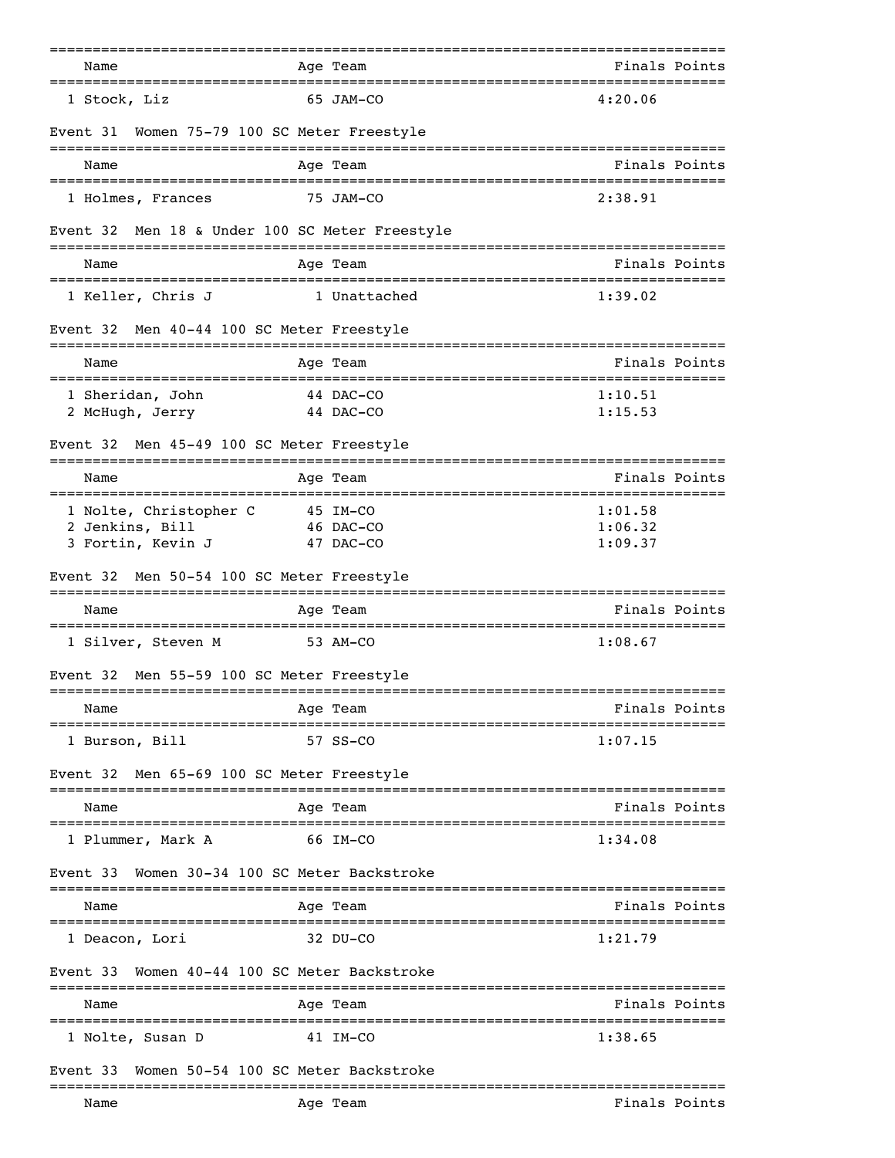| Name                                           | Age Team                                             | Finals Points      |
|------------------------------------------------|------------------------------------------------------|--------------------|
|                                                |                                                      |                    |
| 1 Stock, Liz                                   | 65 JAM-CO                                            | 4:20.06            |
| Event 31                                       | Women 75-79 100 SC Meter Freestyle                   |                    |
| Name                                           | Age Team                                             | Finals Points      |
| 1 Holmes, Frances                              | 75 JAM-CO                                            | 2:38.91            |
| Event 32 Men 18 & Under 100 SC Meter Freestyle |                                                      |                    |
| Name                                           | Age Team                                             | Finals Points      |
| 1 Keller, Chris J                              | 1 Unattached                                         | 1:39.02            |
| Event 32                                       | Men 40-44 100 SC Meter Freestyle                     |                    |
| Name                                           | Age Team                                             | Finals Points      |
| 1 Sheridan, John                               | 44 DAC-CO                                            | 1:10.51            |
| 2 McHugh, Jerry                                | 44 DAC-CO                                            | 1:15.53            |
| Event 32                                       | Men 45-49 100 SC Meter Freestyle                     |                    |
| Name                                           | Age Team                                             | Finals Points      |
| 1 Nolte, Christopher C                         | 45 IM-CO                                             | 1:01.58            |
| 2 Jenkins, Bill                                | 46 DAC-CO                                            | 1:06.32<br>1:09.37 |
| 3 Fortin, Kevin J                              | 47 DAC-CO                                            |                    |
| Event 32                                       | Men 50-54 100 SC Meter Freestyle<br>================ |                    |
| Name                                           | Age Team                                             | Finals Points      |
| 1 Silver, Steven M                             | 53 AM-CO                                             | 1:08.67            |
| Event 32                                       | Men 55-59 100 SC Meter Freestyle                     |                    |
| Name                                           | Age Team                                             | Finals Points      |
| 1 Burson, Bill                                 | 57 SS-CO                                             | 1:07.15            |
| Event 32                                       | Men 65-69 100 SC Meter Freestyle                     |                    |
| ======================================<br>Name | Age Team                                             | Finals Points      |
| 1 Plummer, Mark A                              | 66 IM-CO                                             | 1:34.08            |
| Event 33                                       | Women 30-34 100 SC Meter Backstroke                  |                    |
| Name                                           | Age Team                                             | Finals Points      |
| 1 Deacon, Lori                                 | 32 DU-CO                                             | 1:21.79            |
| Event 33                                       | Women 40-44 100 SC Meter Backstroke                  |                    |
| Name                                           | ----------<br>Age Team                               | Finals Points      |
| 1 Nolte, Susan D                               | 41 IM-CO                                             | 1:38.65            |
| Event 33                                       | Women 50-54 100 SC Meter Backstroke                  |                    |
| Name                                           | Age Team                                             | Finals Points      |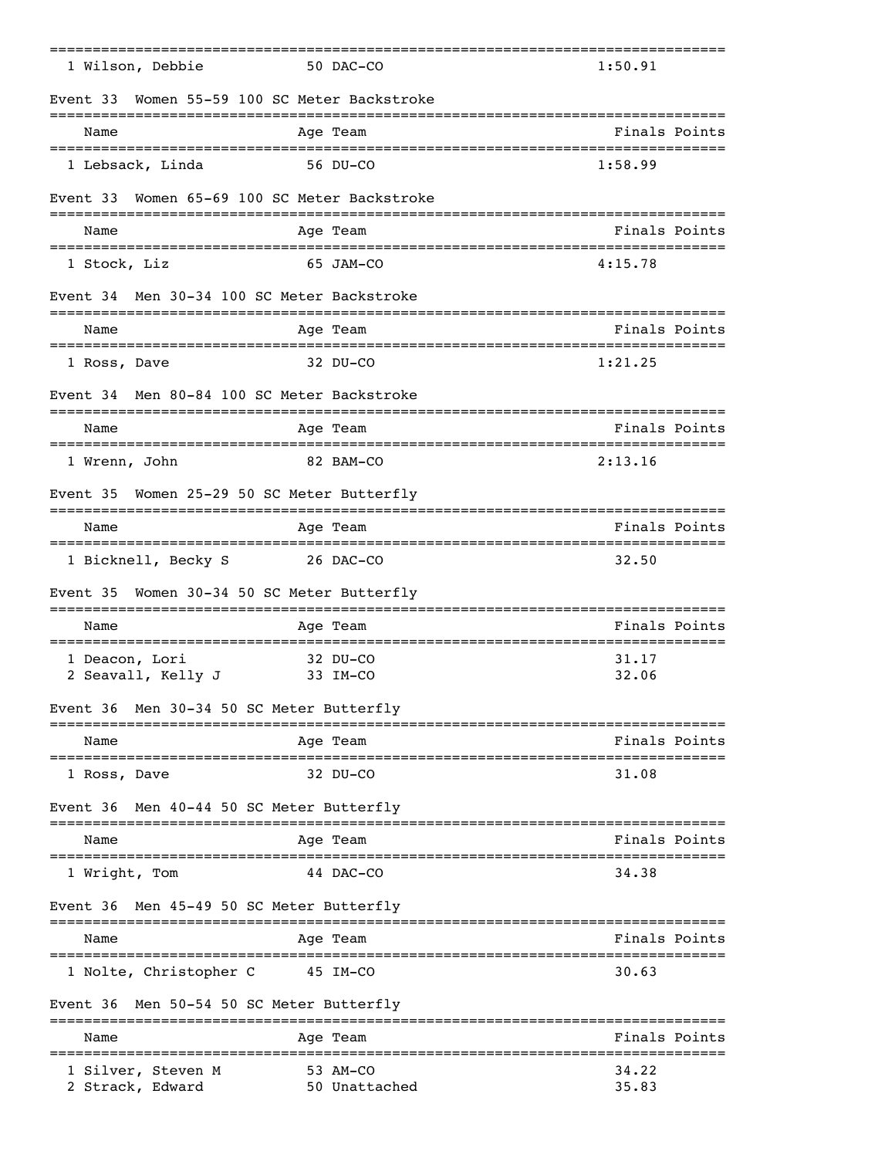| 1 Wilson, Debbie                              | 50 DAC-CO                               | 1:50.91        |
|-----------------------------------------------|-----------------------------------------|----------------|
| Event 33<br>--------------------------------- | Women 55-59 100 SC Meter Backstroke     |                |
| Name                                          | Age Team                                | Finals Points  |
| 1 Lebsack, Linda                              | 56 DU-CO                                | 1:58.99        |
| Event 33                                      | Women 65-69 100 SC Meter Backstroke     |                |
| Name                                          | Age Team                                | Finals Points  |
| 1 Stock, Liz                                  | 65 JAM-CO                               | 4:15.78        |
| Event 34 Men 30-34 100 SC Meter Backstroke    |                                         |                |
| Name                                          | ----------<br>Age Team                  | Finals Points  |
| 1 Ross, Dave                                  | $32$ DU-CO                              | 1:21.25        |
| Event 34 Men 80-84 100 SC Meter Backstroke    |                                         |                |
| Name                                          | Age Team                                | Finals Points  |
| 1 Wrenn, John                                 | 82 BAM-CO                               | 2:13.16        |
| Event 35                                      | Women 25-29 50 SC Meter Butterfly       |                |
| Name                                          | Age Team                                | Finals Points  |
| 1 Bicknell, Becky S                           | 26 DAC-CO                               | 32.50          |
| Event 35                                      | Women 30-34 50 SC Meter Butterfly       |                |
| Name                                          | =========<br>Age Team                   | Finals Points  |
| 1 Deacon, Lori<br>2 Seavall, Kelly J          | $32$ DU-CO<br>33 IM-CO                  | 31.17<br>32.06 |
| Event 36 Men 30-34 50 SC Meter Butterfly      |                                         |                |
| Name                                          | Age Team                                | Finals Points  |
| 1 Ross, Dave                                  | 32 DU-CO                                | 31.08          |
| Event 36                                      | Men 40-44 50 SC Meter Butterfly         |                |
| Name                                          | Age Team                                | Finals Points  |
| 1 Wright, Tom                                 | 44 DAC-CO                               | 34.38          |
| Event 36                                      | Men 45-49 50 SC Meter Butterfly         |                |
| Name                                          | Age Team                                | Finals Points  |
| 1 Nolte, Christopher C                        | 45 IM-CO                                | 30.63          |
| Event 36 Men 50-54 50 SC Meter Butterfly      |                                         |                |
| Name                                          | ==========<br>Age Team                  | Finals Points  |
| 1 Silver, Steven M<br>2 Strack, Edward        | ----------<br>53 AM-CO<br>50 Unattached | 34.22<br>35.83 |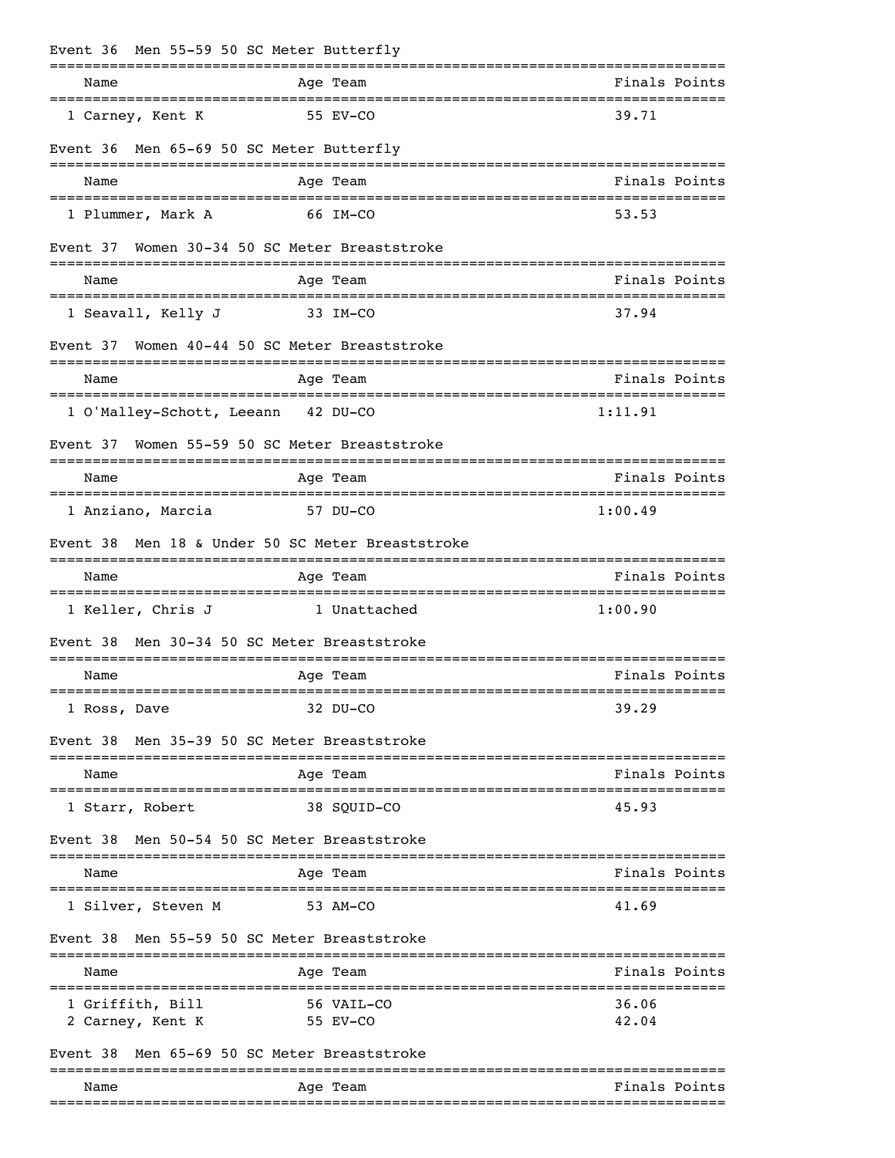| Event 36                                                  | Men 55-59 50 SC Meter Butterfly                    |                                                   |
|-----------------------------------------------------------|----------------------------------------------------|---------------------------------------------------|
| Name<br>======================================            | Age Team                                           | Finals Points                                     |
| 1 Carney, Kent K                                          | 55 EV-CO                                           | 39.71                                             |
| Event 36                                                  | Men 65-69 50 SC Meter Butterfly                    |                                                   |
| Name                                                      | Age Team                                           | Finals Points                                     |
| 1 Plummer, Mark A                                         | 66 IM-CO                                           | 53.53                                             |
| Event 37                                                  | Women 30-34 50 SC Meter Breaststroke               |                                                   |
| Name                                                      | Age Team                                           | Finals Points                                     |
| 1 Seavall, Kelly J                                        | 33 IM-CO                                           | 37.94                                             |
| Event 37                                                  | Women 40-44 50 SC Meter Breaststroke<br>========   |                                                   |
| Name                                                      | Age Team                                           | Finals Points<br>________________________________ |
| 1 O'Malley-Schott, Leeann 42 DU-CO                        |                                                    | 1:11.91                                           |
| Event 37                                                  | Women 55-59 50 SC Meter Breaststroke               |                                                   |
| Name                                                      | Age Team                                           | Finals Points                                     |
| 1 Anziano, Marcia                                         | 57 DU-CO                                           | 1:00.49                                           |
| Event 38                                                  | Men 18 & Under 50 SC Meter Breaststroke            |                                                   |
| Name                                                      | Age Team                                           | Finals Points                                     |
| ====================================<br>1 Keller, Chris J | __________________________________<br>1 Unattached | 1:00.90                                           |
| Event 38                                                  | Men 30-34 50 SC Meter Breaststroke                 |                                                   |
| Name<br>___________________                               | Age Team                                           | Finals Points                                     |
| 1 Ross, Dave                                              | 32 DU-CO                                           | 39.29                                             |
| Event 38                                                  | Men 35-39 50 SC Meter Breaststroke                 |                                                   |
| Name                                                      | Age Team                                           | Finals Points                                     |
| ----------------------<br>1 Starr, Robert                 | ----------------<br>38 SOUID-CO                    | -------------------------------------<br>45.93    |
| Event 38                                                  | Men 50-54 50 SC Meter Breaststroke                 |                                                   |
| Name                                                      | Age Team                                           | Finals Points                                     |
| 1 Silver, Steven M                                        | 53 AM-CO                                           | 41.69                                             |
| Event 38                                                  | Men 55-59 50 SC Meter Breaststroke                 |                                                   |
| Name                                                      | Age Team                                           | Finals Points                                     |
| =============================<br>1 Griffith, Bill         | 56 VAIL-CO                                         | 36.06                                             |
| 2 Carney, Kent K                                          | 55 EV-CO                                           | 42.04                                             |
| Event 38                                                  | Men 65-69 50 SC Meter Breaststroke                 |                                                   |
| Name                                                      | Age Team                                           | Finals Points                                     |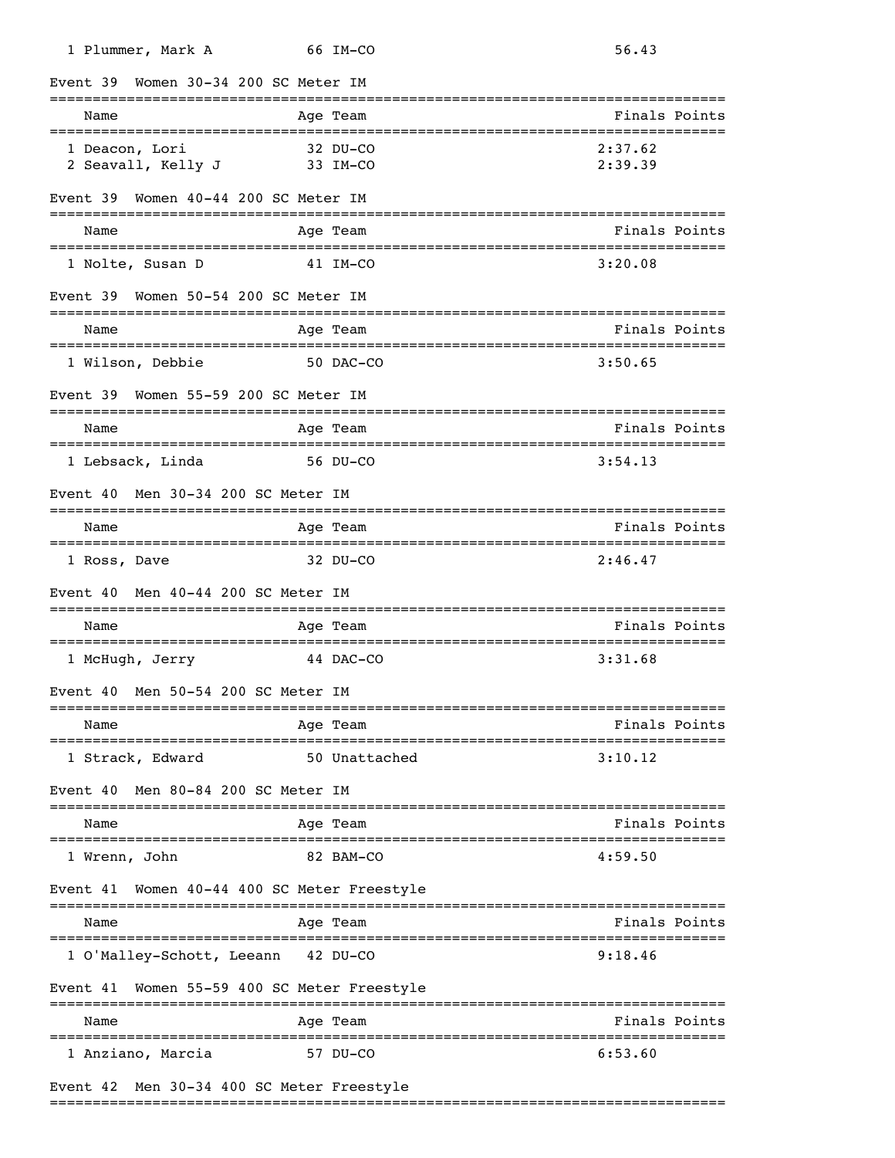| 1 Plummer, Mark A                           | 66 IM-CO                                         | 56.43                                                |
|---------------------------------------------|--------------------------------------------------|------------------------------------------------------|
| Women 30-34 200 SC Meter IM<br>Event 39     |                                                  | =====================                                |
| Name                                        | Age Team                                         | Finals Points                                        |
| 1 Deacon, Lori<br>2 Seavall, Kelly J        | 32 DU-CO<br>33 IM-CO                             | 2:37.62<br>2:39.39                                   |
| Women 40-44 200 SC Meter IM<br>Event 39     |                                                  |                                                      |
| Name                                        | Age Team                                         | Finals Points                                        |
| 1 Nolte, Susan D                            | 41 IM-CO                                         | 3:20.08                                              |
| Event 39 Women 50-54 200 SC Meter IM        |                                                  |                                                      |
| Name                                        | Age Team                                         | Finals Points                                        |
| 1 Wilson, Debbie                            | 50 DAC-CO                                        | 3:50.65                                              |
| Event 39 Women 55-59 200 SC Meter IM        |                                                  |                                                      |
| Name<br>==================================  | Age Team                                         | Finals Points<br>=================================== |
| 1 Lebsack, Linda                            | 56 DU-CO                                         | 3:54.13                                              |
| Men 30-34 200 SC Meter IM<br>Event 40       |                                                  |                                                      |
| Name                                        | Age Team                                         | Finals Points                                        |
| 1 Ross, Dave                                | 32 DU-CO                                         | 2:46.47                                              |
| Men 40-44 200 SC Meter IM<br>Event 40       |                                                  |                                                      |
| Name                                        | Age Team                                         | Finals Points                                        |
| 1 McHugh, Jerry                             | 44 DAC-CO                                        | 3:31.68                                              |
| Event 40 Men 50-54 200 SC Meter IM          |                                                  |                                                      |
| Name                                        | Age Team                                         | Finals Points                                        |
| 1 Strack, Edward                            | 50 Unattached                                    | 3:10.12                                              |
| Event 40 Men 80-84 200 SC Meter IM          |                                                  |                                                      |
| Name<br>=================================== | Age Team<br>==================================== | Finals Points                                        |
| 1 Wrenn, John                               | 82 BAM-CO                                        | 4:59.50                                              |
| Event 41                                    | Women 40-44 400 SC Meter Freestyle               |                                                      |
| Name                                        | Age Team                                         | Finals Points                                        |
| 1 O'Malley-Schott, Leeann 42 DU-CO          |                                                  | 9:18.46                                              |
| Event 41                                    | Women 55-59 400 SC Meter Freestyle               |                                                      |
| Name                                        | Age Team                                         | Finals Points                                        |
| 1 Anziano, Marcia                           | 57 DU-CO                                         | 6:53.60                                              |
| Event 42 Men 30-34 400 SC Meter Freestyle   |                                                  |                                                      |

===============================================================================